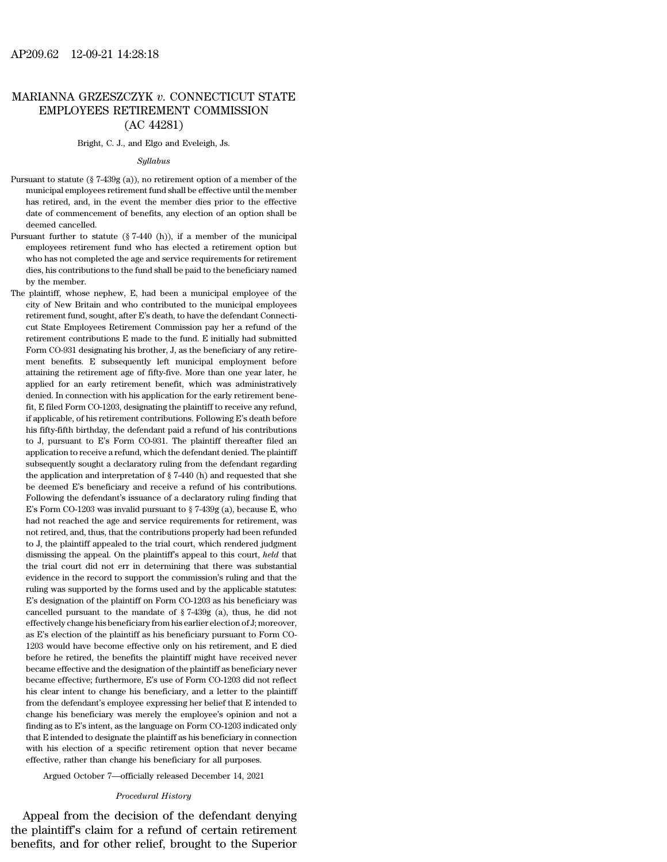# AP209.62 12-09-21 14:28:18<br>MARIANNA GRZESZCZYK *v*. CONNECTICUT STATE<br>EMPLOYEES RETIREMENT COMMISSION EMPLOYEES RETIREMENT COMMISSION 4:28:18<br>CZYK v. CONNECT<br>ETIREMENT COMN<br>(AC 44281)<br>, and Elgo and Eveleigh, J. MARIANNA GRZESZCZYK  $v$ . CONNECTICUT STATE<br>EMPLOYEES RETIREMENT COMMISSION<br>(AC 44281)<br>Bright, C. J., and Elgo and Eveleigh, Js.

## *Syllabus*

- $(AC 44281)$ <br>
Pursuant to statute (§ 7-439g (a)), no retirement option of a member of the<br>
municipal employees retirement fund shall be effective until the member<br>
municipal employees retirement fund shall be effective unt  $(AC 44261)$ <br>Bright, C. J., and Elgo and Eveleigh, Js.<br> $Syllabus$ <br>suant to statute (§ 7-439g (a)), no retirement option of a member of the<br>municipal employees retirement fund shall be effective until the member<br>has retired, and Bright, C. J., and Elgo and Eveleigh, Js.<br>  $Syllabus$ <br>
suant to statute (§ 7-439g (a)), no retirement option of a member of the<br>
municipal employees retirement fund shall be effective until the member<br>
has retired, and, in the  $Syllabus$ <br>suant to statute (§ 7-439g (a)), no retirement option of a member of the<br>municipal employees retirement fund shall be effective until the member<br>has retired, and, in the event the member dies prior to the effective<br> suant to statute (§ 7-439)<br>municipal employees ret<br>has retired, and, in the<br>date of commencement<br>deemed cancelled.<br>suant further to statute Pursuant to statute (§ 7-439g (a)), no retirement option of a member of the municipal employees retirement fund shall be effective until the member has retired, and, in the event the member dies prior to the effective dat municipal employees retirement fund shall be effective until the member<br>has retired, and, in the event the member dies prior to the effective<br>date of commencement of benefits, any election of an option shall be<br>deemed can
- what extend, and, in the event the member dies prior to the effective date of commencement of benefits, any election of an option shall be deemed cancelled.<br>suant further to statute  $(\frac{8}{7400}$  (h)), if a member of the m date of commencement of benefits, any election of an option shall be<br>deemed cancelled.<br>suant further to statute  $(\frac{8}{5}7-440 \text{ (h)})$ , if a member of the municipal<br>employees retirement fund who has elected a retirement op date of commencement of benefits, any election of an option shall be<br>deemed cancelled.<br>Pursuant further to statute  $(\frac{8}{7440}$  (h)), if a member of the municipal<br>employees retirement fund who has elected a retirement opt Pursuant further to statute  $(\S 7-440 \text{ (h)})$ , if a member of the municipal employees retirement fund who has elected a retirement option but who has not completed the age and service requirements for retirement dies, his employees retirement fund who has elected a retirement option but<br>who has not completed the age and service requirements for retirement<br>dies, his contributions to the fund shall be paid to the beneficiary named<br>by the mem
- who has not completed the age and service requirements for retirement<br>dies, his contributions to the fund shall be paid to the beneficiary named<br>by the member.<br> $:$  plaintiff, whose nephew, E, had been a municipal employee dies, his contributions to the fund shall be paid to the beneficiary named<br>by the member.<br>plaintiff, whose nephew, E, had been a municipal employee of the<br>city of New Britain and who contributed to the municipal employees<br> by the member.<br>
by the member.<br>
plaintiff, whose nephew, E, had been a municipal employee of the<br>
city of New Britain and who contributed to the municipal employees<br>
retirement fund, sought, after E's death, to have the de The plaintiff, whose nephew, E, had been a municipal employee of the city of New Britain and who contributed to the municipal employees retirement fund, sought, after E's death, to have the defendant Connecticut State Empl city of New Britain and who contributed to the municipal employees<br>retirement fund, sought, after E's death, to have the defendant Connecti-<br>cut State Employees Retirement Commission pay her a refund of the<br>retirement cont retirement fund, sought, after E's death, to have the defendant Connecticut State Employees Retirement Commission pay her a refund of the retirement contributions E made to the fund. E initially had submitted Form CO-931 d cut State Employees Retirement Commission pay her a refund of the retirement contributions E made to the fund. E initially had submitted Form CO-931 designating his brother, J, as the beneficiary of any retirement benefits retirement contributions E made to the fund. E initially had submitted Form CO-931 designating his brother, J, as the beneficiary of any retirement benefits. E subsequently left municipal employment before attaining the r Form CO-931 designating his brother, J, as the beneficiary of any retirement benefits. E subsequently left municipal employment before attaining the retirement age of fifty-five. More than one year later, he applied for a if applicable, of his retirement benefits. E subsequently left municipal employment before attaining the retirement age of fifty-five. More than one year later, he applied for an early retirement benefit, which was adminis attaining the retirement age of fifty-five. More than one year later, he applied for an early retirement benefit, which was administratively denied. In connection with his application for the early retirement benefit, E f applied for an early retirement benefit, which was administratively<br>denied. In connection with his application for the early retirement benefit, E filed Form CO-1203, designating the plaintiff to receive any refund,<br>if app denied. In connection with his application for the early retirement benefit, E filed Form CO-1203, designating the plaintiff to receive any refund, if applicable, of his retirement contributions. Following E's death befor fit, E filed Form CO-1203, designating the plaintiff to receive any refund, if applicable, of his retirement contributions. Following E's death before his fifty-fifth birthday, the defendant paid a refund of his contribut if applicable, of his retirement contributions. Following E's death before his fifty-fifth birthday, the defendant paid a refund of his contributions to J, pursuant to E's Form CO-931. The plaintiff thereafter filed an ap his fifty-fifth birthday, the defendant paid a refund of his contributions to J, pursuant to E's Form CO-931. The plaintiff thereafter filed an application to receive a refund, which the defendant denied. The plaintiff su his fifty-fifth birthday, the defendant paid a refund of his contributions<br>to J, pursuant to E's Form CO-931. The plaintiff thereafter filed an<br>application to receive a refund, which the defendant denied. The plaintiff<br>su application to receive a refund, which the defendant denied. The plaintiff subsequently sought a declaratory ruling from the defendant regarding the application and interpretation of  $\S$  7-440 (h) and requested that she b had not reached the age and service requirements for retirement, was not retired that she be deemed E's beneficiary and receive a refund of his contributions.<br>Following the defendant's issuance of a declaratory ruling fin be application and interpretation of § 7-440 (h) and requested that she be deemed E's beneficiary and receive a refund of his contributions.<br>Following the defendant's issuance of a declaratory ruling finding that E's Form to deemed E's beneficiary and receive a refund of his contributions.<br>Following the defendant's issuance of a declaratory ruling finding that E's Form CO-1203 was invalid pursuant to  $\S$  7-439g (a), because E, who had not Following the defendant's issuance of a declaratory ruling finding that  $E$ 's Form CO-1203 was invalid pursuant to  $\S$  7-439g (a), because  $E$ , who had not reached the age and service requirements for retirement, was not E's Form CO-1203 was invalid pursuant to § 7-439g (a), because E, who had not reached the age and service requirements for retirement, was not retired, and, thus, that the contributions properly had been refunded to J, th and not reached the age and service requirements for retirement, was not retired, and, thus, that the contributions properly had been refunded to J, the plaintiff appealed to the trial court, which rendered judgment dismi ruling was supported by the forms used and by the applicable status:<br>The forms used to J, the plaintiff appealed to the trial court, which rendered judgment<br>dismissing the appeal. On the plaintiff's appeal to this court, to J, the plaintiff appealed to the trial court, which rendered judgment dismissing the appeal. On the plaintiff's appeal to this court, *held* that the trial court did not err in determining that there was substantial ev dismissing the appeal. On the plaintiff's appeal to this court, *held* that the trial court did not err in determining that there was substantial evidence in the record to support the commission's ruling and that the ruli the trial court did not err in determining that there was substantial evidence in the record to support the commission's ruling and that the ruling was supported by the forms used and by the applicable statutes: E's desig evidence in the record to support the commission's ruling and that the ruling was supported by the forms used and by the applicable statutes: E's designation of the plaintiff on Form CO-1203 as his beneficiary was cancelle Figure 2013 would have become effective only on his retirement and the applicable statutes:<br>E's designation of the plaintiff on Form CO-1203 as his beneficiary was<br>cancelled pursuant to the mandate of § 7-439g (a), thus, h Example of the plaintiff on Form CO-1203 as his beneficiary was cancelled pursuant to the mandate of  $\S$  7-439g (a), thus, he did not effectively change his beneficiary from his earlier election of J; moreover, as E's ele cancelled pursuant to the mandate of  $\S$  7-439g (a), thus, he did not effectively change his beneficiary from his earlier election of J; moreover, as E's election of the plaintiff as his beneficiary pursuant to Form CO-12 effectively change his beneficiary from his earlier election of J; moreover, as E's election of the plaintiff as his beneficiary pursuant to Form CO-1203 would have become effective only on his retirement, and E died befo as E's election of the plaintiff as his beneficiary pursuant to Form CO-<br>1203 would have become effective only on his retirement, and E died<br>before he retired, the benefits the plaintiff might have received never<br>became e 1203 would have become effective only on his retirement, and E died before he retired, the benefits the plaintiff might have received never became effective and the designation of the plaintiff as beneficiary never became before he retired, the benefits the plaintiff might have received never<br>became effective and the designation of the plaintiff as beneficiary never<br>became effective; furthermore, E's use of Form CO-1203 did not reflect<br>his became effective and the designation of the plaintiff as beneficiary never<br>became effective; furthermore, E's use of Form CO-1203 did not reflect<br>his clear intent to change his beneficiary, and a letter to the plaintiff<br>f became effective; furthermore, E's use of Form CO-1203 did not reflect his clear intent to change his beneficiary, and a letter to the plaintiff from the defendant's employee expressing her belief that E intended to chang but the defendant's employee by a sheaf of a specific retirement of the plaintiff from the defendant's employee expressing her belief that E intended to change his beneficiary was merely the employee's opinion and not a f from the defendant's employee expressing her belief that E intended change his beneficiary was merely the employee's opinion and n finding as to E's intent, as the language on Form CO-1203 indicated that E intended to des ge his beneficiary was merely the employee's opinion and not a mg as to E's intent, as the language on Form CO-1203 indicated only E intended to designate the plaintiff as his beneficiary in connection his election of a sp rate the plaintiff as his beneficial<br>specific retirement option than<br>ange his beneficiary for all pu<br>-officially released December<br>Procedural History<br>decision of the defend manny as to E s intent, as the language on Form CO-1203 malcated only<br>that E intended to designate the plaintiff as his beneficiary in connection<br>with his election of a specific retirement option that never became<br>effectiv

Figure and Subsembolic methods with his election of a specific retirement option that never became effective, rather than change his beneficiary for all purposes.<br>Argued October 7—officially released December 14, 2021<br>*Pro* effective, rather than change his beneficiary for all purposes.<br>Argued October 7—officially released December 14, 2021<br>*Procedural History*<br>Appeal from the decision of the defendant denying<br>the plaintiff's claim for a refu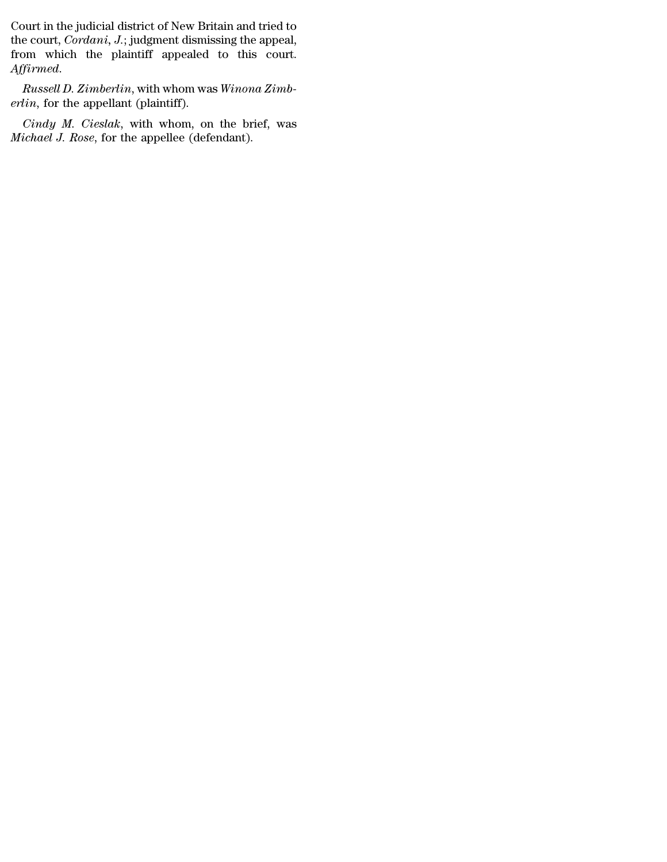Court in the judicial district of New Britain and tried to<br>the court, *Cordani*, J.; judgment dismissing the appeal,<br>from , which, the plaintiff, appealed, to, this, court Court in the judicial district of New Britain and tried to<br>the court, *Cordani*, *J*.; judgment dismissing the appeal,<br>from which the plaintiff appealed to this court. Court in the judicial district of New Britain and tried to<br>the court, *Cordani*, *J*.; judgment dismissing the appeal,<br>from which the plaintiff appealed to this court.<br>Affirmed. *Court in the judicial district of New Britain and tried to* the court, *Cordani*, *J*.; judgment dismissing the appeal, from which the plaintiff appealed to this court. *Affirmed.*<br>*Russell D. Zimberlin*, with whom was *W era* Court in the judicial district of New Brit<br>the court, *Cordani*, *J*.; judgment dismis<br>from which the plaintiff appealed<br>Affirmed.<br>*Russell D. Zimberlin*, with whom was<br>*erlin*, for the appellant (plaintiff).<br>*Cindy Cordani, J.*; judgment dismissing the appeal,<br> *Cindy which the plaintiff appealed to this court.*<br> *Firmed.*<br> *Russell D. Zimberlin*, with whom was *Winona Zimb-<br>
lin*, for the appellant (plaintiff).<br> *Cindy M. Cieslak*, From which the plaintiff appealed to this *Affirmed.*<br>*Russell D. Zimberlin*, with whom was *Winon erlin*, for the appellant (plaintiff).<br>*Cindy M. Cieslak*, with whom, on the br<br>*Michael J. Rose*, for the appellee (defe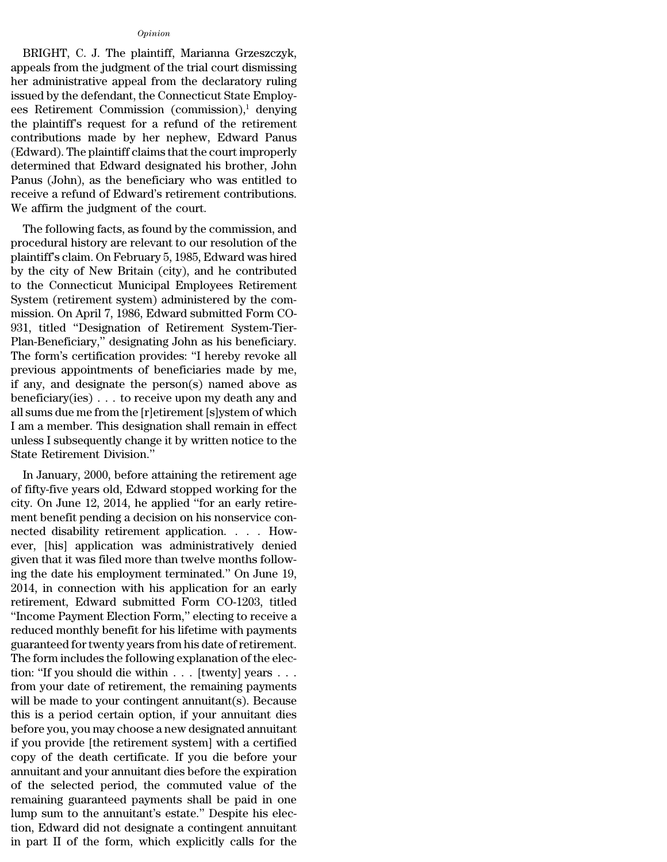# *Opinion*

Opinion<br>BRIGHT, C. J. The plaintiff, Marianna Grzeszczyk,<br>peals from the judgment of the trial court dismissing<br>readministrative appeal from the declaratory ruling opinion<br>BRIGHT, C. J. The plaintiff, Marianna Grzeszczyk,<br>appeals from the judgment of the trial court dismissing<br>her administrative appeal from the declaratory ruling<br>issued by the defendant the Connecticut State Employ. opinion<br>BRIGHT, C. J. The plaintiff, Marianna Grzeszczyk,<br>appeals from the judgment of the trial court dismissing<br>her administrative appeal from the declaratory ruling<br>issued by the defendant, the Connecticut State Employopinion<br>
BRIGHT, C. J. The plaintiff, Marianna Grzeszczyk,<br>
appeals from the judgment of the trial court dismissing<br>
her administrative appeal from the declaratory ruling<br>
issued by the defendant, the Connecticut State Emp opinion<br>
BRIGHT, C. J. The plaintiff, Marianna Grzeszczyk,<br>
appeals from the judgment of the trial court dismissing<br>
her administrative appeal from the declaratory ruling<br>
issued by the defendant, the Connecticut State Em  $u_{prnion}$ <br>BRIGHT, C. J. The plaintiff, Marianna Grzeszczyk,<br>appeals from the judgment of the trial court dismissing<br>her administrative appeal from the declaratory ruling<br>issued by the defendant, the Connecticut State Emplo BRIGHT, C. J. The plaintiff, Marianna Grzeszczyk,<br>appeals from the judgment of the trial court dismissing<br>her administrative appeal from the declaratory ruling<br>issued by the defendant, the Connecticut State Employ-<br>ees Ret appeals from the judgment of the trial court dismissing<br>her administrative appeal from the declaratory ruling<br>issued by the defendant, the Connecticut State Employ-<br>ees Retirement Commission (commission),<sup>1</sup> denying<br>the pl her administrative appeal from the declaratory ruling<br>issued by the defendant, the Connecticut State Employ-<br>ees Retirement Commission (commission),<sup>1</sup> denying<br>the plaintiff's request for a refund of the retirement<br>contrib issued by the defendant, the Connecticut State Employ-<br>ees Retirement Commission (commission),<sup>1</sup> denying<br>the plaintiff's request for a refund of the retirement<br>contributions made by her nephew, Edward Panus<br>(Edward). The ees Retirement Commission (commission),<sup>1</sup> denying<br>the plaintiff's request for a refund of the retirement<br>contributions made by her nephew, Edward Panus<br>(Edward). The plaintiff claims that the court improperly<br>determined the plaintiff's request for a refund of the contributions made by her nephew, Edv<br>(Edward). The plaintiff claims that the cour<br>determined that Edward designated his bi<br>Panus (John), as the beneficiary who was<br>receive a ref Intributions inade by her hephew, Edward Fanus<br>dward). The plaintiff claims that the court improperly<br>termined that Edward designated his brother, John<br>mus (John), as the beneficiary who was entitled to<br>ceive a refund of E (Edward). The plaintin claims that the Court Improperty<br>determined that Edward designated his brother, John<br>Panus (John), as the beneficiary who was entitled to<br>receive a refund of Edward's retirement contributions.<br>We aff

determined that Edward designated his brother, John<br>Panus (John), as the beneficiary who was entitled to<br>receive a refund of Edward's retirement contributions.<br>We affirm the judgment of the court.<br>The following facts, as f Faitus (John), as the beneficially who was entitled to<br>receive a refund of Edward's retirement contributions.<br>We affirm the judgment of the court.<br>The following facts, as found by the commission, and<br>procedural history are receive a retund of Edward's retirement contributions.<br>We affirm the judgment of the court.<br>The following facts, as found by the commission, and<br>procedural history are relevant to our resolution of the<br>plaintiff's claim. O We amin't the judgment of the court.<br>The following facts, as found by the commission, and<br>procedural history are relevant to our resolution of the<br>plaintiff's claim. On February 5, 1985, Edward was hired<br>by the city of New The following facts, as found by the commission, and<br>procedural history are relevant to our resolution of the<br>plaintiff's claim. On February 5, 1985, Edward was hired<br>by the city of New Britain (city), and he contributed<br>t procedural history are relevant to our resolution of the plaintiff's claim. On February 5, 1985, Edward was hired by the city of New Britain (city), and he contributed to the Connecticut Municipal Employees Retirement Syst plaintiff's claim. On February 5, 1985, Edward was hired<br>by the city of New Britain (city), and he contributed<br>to the Connecticut Municipal Employees Retirement<br>System (retirement system) administered by the com-<br>mission. by the city of New Britain (city), and he contributed<br>to the Connecticut Municipal Employees Retirement<br>System (retirement system) administered by the com-<br>mission. On April 7, 1986, Edward submitted Form CO-<br>931, titled " to the Connecticut Municipal Employees Retirement<br>System (retirement system) administered by the com-<br>mission. On April 7, 1986, Edward submitted Form CO-<br>931, titled "Designation of Retirement System-Tier-<br>Plan-Beneficiar System (retirement system) administered by the commission. On April 7, 1986, Edward submitted Form CO-<br>931, titled "Designation of Retirement System-Tier-<br>Plan-Beneficiary," designating John as his beneficiary.<br>The form's mission. On April 7, 1986, Edward submitted Form CO-<br>931, titled "Designation of Retirement System-Tier-<br>Plan-Beneficiary," designating John as his beneficiary.<br>The form's certification provides: "I hereby revoke all<br>previ 931, titled "Designation of Retirement System-Tier-<br>Plan-Beneficiary," designating John as his beneficiary.<br>The form's certification provides: "I hereby revoke all<br>previous appointments of beneficiaries made by me,<br>if any, Plan-Beneficiary," designating John as his beneficiary.<br>The form's certification provides: "I hereby revoke all<br>previous appointments of beneficiaries made by me,<br>if any, and designate the person(s) named above as<br>benefici The form's certification provides: "I hereby revoke all<br>previous appointments of beneficiaries made by me,<br>if any, and designate the person(s) named above as<br>beneficiary(ies) . . . to receive upon my death any and<br>all sums previous appointments of beneficiaries made by me, if any, and designate the person(s) named above as beneficiary(ies) . . . to receive upon my death any and all sums due me from the [r]etirement [s]ystem of which I am a any, and designate the person(s) hained above as<br>neficiary(ies) . . . to receive upon my death any and<br>sums due me from the [r]etirement [s]ystem of which<br>am a member. This designation shall remain in effect<br>less I subseq benenciary(ies) . . . to receive upon my dearn any and<br>all sums due me from the [r]etirement [s]ystem of which<br>I am a member. This designation shall remain in effect<br>unless I subsequently change it by written notice to the

an sunts due the from the p jettrement [s]ystem or which<br>I am a member. This designation shall remain in effect<br>unless I subsequently change it by written notice to the<br>State Retirement Division."<br>In January, 2000, before ment a member. This designation shall remain in enect<br>unless I subsequently change it by written notice to the<br>State Retirement Division."<br>In January, 2000, before attaining the retirement age<br>of fifty-five years old, Edwa nection."<br>
State Retirement Division."<br>
In January, 2000, before attaining the retirement age<br>
of fifty-five years old, Edward stopped working for the<br>
city. On June 12, 2014, he applied "for an early retire-<br>
ment benefit In January, 2000, before attaining the retirement age<br>of fifty-five years old, Edward stopped working for the<br>city. On June 12, 2014, he applied "for an early retire-<br>ment benefit pending a decision on his nonservice con-In January, 2000, before attaining the retirement age<br>of fifty-five years old, Edward stopped working for the<br>city. On June 12, 2014, he applied "for an early retire-<br>ment benefit pending a decision on his nonservice conof fifty-five years old, Edward stopped working for the<br>city. On June 12, 2014, he applied "for an early retire-<br>ment benefit pending a decision on his nonservice con-<br>nected disability retirement application. . . . How-<br>e city. On June 12, 2014, he applied "for an early retirement benefit pending a decision on his nonservice connected disability retirement application. . . . However, [his] application was administratively denied given that ment benefit pending a decision on his nonservice con-<br>nected disability retirement application. . . . How-<br>ever, [his] application was administratively denied<br>given that it was filed more than twelve months follow-<br>ing th nected disability retirement application. . . . How-<br>
ever, [his] application was administratively denied<br>
given that it was filed more than twelve months follow-<br>
ing the date his employment terminated." On June 19,<br>
2014 ever, [his] application was administratively denied<br>given that it was filed more than twelve months follow-<br>ing the date his employment terminated." On June 19,<br>2014, in connection with his application for an early<br>retirem given that it was filed more than twelve months following the date his employment terminated." On June 19, 2014, in connection with his application for an early retirement, Edward submitted Form CO-1203, titled "Income Pay ing the date his employment terminated." On June 19,<br>2014, in connection with his application for an early<br>retirement, Edward submitted Form CO-1203, titled<br>"Income Payment Election Form," electing to receive a<br>reduced mon 2014, in connection with his application for an early<br>retirement, Edward submitted Form CO-1203, titled<br>"Income Payment Election Form," electing to receive a<br>reduced monthly benefit for his lifetime with payments<br>guarantee retirement, Edward submitted Form CO-1203, titled<br>
"Income Payment Election Form," electing to receive a<br>
reduced monthly benefit for his lifetime with payments<br>
guaranteed for twenty years from his date of retirement.<br>
Th "Income Payment Election Form," electing to receive a<br>reduced monthly benefit for his lifetime with payments<br>guaranteed for twenty years from his date of retirement.<br>The form includes the following explanation of the elec reduced monthly benefit for his lifetime with payments<br>guaranteed for twenty years from his date of retirement.<br>The form includes the following explanation of the elec-<br>tion: "If you should die within . . . [twenty] years guaranteed for twenty years from his date of retirement.<br>The form includes the following explanation of the election: "If you should die within . . . [twenty] years . . .<br>from your date of retirement, the remaining payment The form includes the following explanation of the election: "If you should die within  $\ldots$  [twenty] years  $\ldots$  from your date of retirement, the remaining payments will be made to your contingent annuitant(s). Because tion: "If you should die within  $\ldots$  [twenty] years  $\ldots$  from your date of retirement, the remaining payments will be made to your contingent annuitant(s). Because this is a period certain option, if your annuitant dies from your date of retirement, the remaining payments<br>will be made to your contingent annuitant(s). Because<br>this is a period certain option, if your annuitant dies<br>before you, you may choose a new designated annuitant<br>if y will be made to your contingent annuitant(s). Because<br>this is a period certain option, if your annuitant dies<br>before you, you may choose a new designated annuitant<br>if you provide [the retirement system] with a certified<br>co this is a period certain option, if your annuitant dies<br>before you, you may choose a new designated annuitant<br>if you provide [the retirement system] with a certified<br>copy of the death certificate. If you die before your<br>an before you, you may choose a new designated annuitant<br>if you provide [the retirement system] with a certified<br>copy of the death certificate. If you die before your<br>annuitant and your annuitant dies before the expiration<br>of if you provide [the retirement system] with a certified<br>copy of the death certificate. If you die before your<br>annuitant and your annuitant dies before the expiration<br>of the selected period, the commuted value of the<br>remain copy of the death certificate. If you die before your annuitant and your annuitant dies before the expiration<br>of the selected period, the commuted value of the<br>remaining guaranteed payments shall be paid in one<br>lump sum to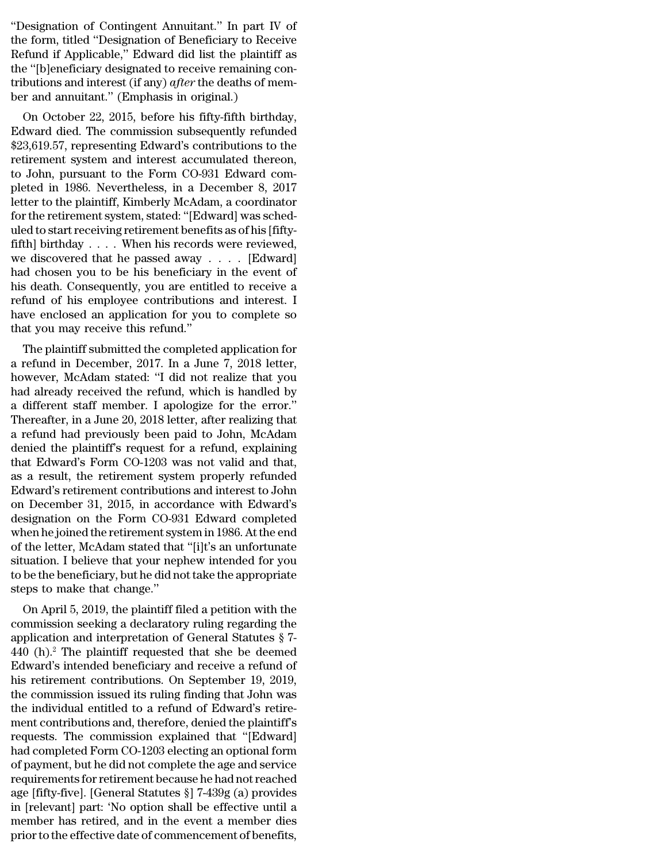"Designation of Contingent Annuitant." In part IV of<br>the form, titled "Designation of Beneficiary to Receive<br>Befund if Applicable," Edward did list the plaintiff as "Designation of Contingent Annuitant." In part IV of<br>the form, titled "Designation of Beneficiary to Receive<br>Refund if Applicable," Edward did list the plaintiff as<br>the "Iblonoficiary designated to receive remaining con-"Designation of Contingent Annuitant." In part IV of<br>the form, titled "Designation of Beneficiary to Receive<br>Refund if Applicable," Edward did list the plaintiff as<br>the "[b]eneficiary designated to receive remaining con-<br>t "Designation of Contingent Annuitant." In part IV of<br>the form, titled "Designation of Beneficiary to Receive<br>Refund if Applicable," Edward did list the plaintiff as<br>the "[b]eneficiary designated to receive remaining con-<br>t "Designation of Contingent Annuitant." In part IV of<br>the form, titled "Designation of Beneficiary to Receive<br>Refund if Applicable," Edward did list the plaintiff as<br>the "[b]eneficiary designated to receive remaining con-<br>t "Designation of Contingent Annuitant." In part IV<br>the form, titled "Designation of Beneficiary to Rece<br>Refund if Applicable," Edward did list the plaintiff<br>the "[b]eneficiary designated to receive remaining c<br>tributions an besignation of Contingent Annutaant. In part TV of<br>e form, titled "Designation of Beneficiary to Receive<br>fund if Applicable," Edward did list the plaintiff as<br>e "[b]eneficiary designated to receive remaining con-<br>butions a the form, the Designation of Beneficiary to Receive<br>Refund if Applicable," Edward did list the plaintiff as<br>the "[b]eneficiary designated to receive remaining con-<br>tributions and interest (if any) *after* the deaths of mem

Refulta in Applicable, Edward did list the plaintin as<br>the "[b]eneficiary designated to receive remaining con-<br>tributions and interest (if any) *after* the deaths of mem-<br>ber and annuitant." (Emphasis in original.)<br>On Octo tributions and interest (if any) *after* the deaths of member and annuitant." (Emphasis in original.)<br>On October 22, 2015, before his fifty-fifth birthday,<br>Edward died. The commission subsequently refunded<br>\$23,619.57, repr thum to and interest (if any) *after* the deaths of hemis-<br>ber and annuitant." (Emphasis in original.)<br>On October 22, 2015, before his fifty-fifth birthday,<br>Edward died. The commission subsequently refunded<br>\$23,619.57, re ber and annutrant. (Emphasis in original.)<br>
On October 22, 2015, before his fifty-fifth birthday,<br>
Edward died. The commission subsequently refunded<br>
\$23,619.57, representing Edward's contributions to the<br>
retirement syste On October 22, 2015, before his fifty-fifth birthday,<br>Edward died. The commission subsequently refunded<br>\$23,619.57, representing Edward's contributions to the<br>retirement system and interest accumulated thereon,<br>to John, pu Edward died. The commission subsequently refunded<br>\$23,619.57, representing Edward's contributions to the<br>retirement system and interest accumulated thereon,<br>to John, pursuant to the Form CO-931 Edward com-<br>pleted in 1986. \$23,619.57, representing Edward's contributions to the retirement system and interest accumulated thereon, to John, pursuant to the Form CO-931 Edward completed in 1986. Nevertheless, in a December 8, 2017 letter to the pl retirement system and interest accumulated thereon,<br>to John, pursuant to the Form CO-931 Edward com-<br>pleted in 1986. Nevertheless, in a December 8, 2017<br>letter to the plaintiff, Kimberly McAdam, a coordinator<br>for the retir to John, pursuant to the Form CO-931 Edward completed in 1986. Nevertheless, in a December 8, 2017<br>letter to the plaintiff, Kimberly McAdam, a coordinator<br>for the retirement system, stated: "[Edward] was sched-<br>uled to sta pleted in 1986. Nevertheless, in a December 8, 2017<br>letter to the plaintiff, Kimberly McAdam, a coordinator<br>for the retirement system, stated: "[Edward] was sched-<br>uled to start receiving retirement benefits as of his [fif letter to the plaintiff, Kimberly McAdam, a coordinator<br>for the retirement system, stated: "[Edward] was sched-<br>uled to start receiving retirement benefits as of his [fifty-<br>fifth] birthday . . . . When his records were re for the retirement system, stated: "[Edward] was sched-<br>uled to start receiving retirement benefits as of his [fifty-<br>fifth] birthday . . . . When his records were reviewed,<br>we discovered that he passed away . . . . [Edwa uled to start receiving retirement benefits as of his [fifty-<br>fifth] birthday . . . . When his records were reviewed,<br>we discovered that he passed away . . . . [Edward]<br>had chosen you to be his beneficiary in the event of fifth] birthday  $\ldots$ . When his records<br>we discovered that he passed away .<br>had chosen you to be his beneficiary<br>his death. Consequently, you are entitl<br>refund of his employee contributions<br>have enclosed an application fo E unscovered that he passed away  $\cdot \cdot \cdot$ . [Edward]<br>d chosen you to be his beneficiary in the event of<br>s death. Consequently, you are entitled to receive a<br>fund of his employee contributions and interest. I<br>we enclosed an had chosen you to be his beneficiary in the event of<br>his death. Consequently, you are entitled to receive a<br>refund of his employee contributions and interest. I<br>have enclosed an application for you to complete so<br>that you

how each. Consequently, you are entitled to receive a<br>refund of his employee contributions and interest. I<br>have enclosed an application for you to complete so<br>that you may receive this refund."<br>The plaintiff submitted the refund of his employee contributions and interest. I<br>have enclosed an application for you to complete so<br>that you may receive this refund."<br>The plaintiff submitted the completed application for<br>a refund in December, 2017. raive enclosed an application for you to complete so<br>that you may receive this refund."<br>The plaintiff submitted the completed application for<br>a refund in December, 2017. In a June 7, 2018 letter,<br>however, McAdam stated: "I The plaintiff submitted the completed application for<br>a refund in December, 2017. In a June 7, 2018 letter,<br>however, McAdam stated: "I did not realize that you<br>had already received the refund, which is handled by<br>a differe The plaintiff submitted the completed application for<br>a refund in December, 2017. In a June 7, 2018 letter,<br>however, McAdam stated: "I did not realize that you<br>had already received the refund, which is handled by<br>a differe a refund in December, 2017. In a June 7, 2018 letter,<br>however, McAdam stated: "I did not realize that you<br>had already received the refund, which is handled by<br>a different staff member. I apologize for the error."<br>Thereafte however, McAdam stated: "I did not realize that you<br>had already received the refund, which is handled by<br>a different staff member. I apologize for the error."<br>Thereafter, in a June 20, 2018 letter, after realizing that<br>a r had already received the refund, which is handled by<br>a different staff member. I apologize for the error."<br>Thereafter, in a June 20, 2018 letter, after realizing that<br>a refund had previously been paid to John, McAdam<br>denie a different staff member. I apologize for the error."<br>Thereafter, in a June 20, 2018 letter, after realizing that<br>a refund had previously been paid to John, McAdam<br>denied the plaintiff's request for a refund, explaining<br>th Thereafter, in a June 20, 2018 letter, after realizing that<br>a refund had previously been paid to John, McAdam<br>denied the plaintiff's request for a refund, explaining<br>that Edward's Form CO-1203 was not valid and that,<br>as a a refund had previously been paid to John, McAdam<br>denied the plaintiff's request for a refund, explaining<br>that Edward's Form CO-1203 was not valid and that,<br>as a result, the retirement system properly refunded<br>Edward's ret denied the plaintiff's request for a refund, explaining<br>that Edward's Form CO-1203 was not valid and that,<br>as a result, the retirement system properly refunded<br>Edward's retirement contributions and interest to John<br>on Dece that Edward's Form CO-1203 was not valid and that,<br>as a result, the retirement system properly refunded<br>Edward's retirement contributions and interest to John<br>on December 31, 2015, in accordance with Edward's<br>designation o as a result, the retirement system properly refunded<br>Edward's retirement contributions and interest to John<br>on December 31, 2015, in accordance with Edward's<br>designation on the Form CO-931 Edward completed<br>when he joined t Edward's retirement contributions and interest to John<br>on December 31, 2015, in accordance with Edward's<br>designation on the Form CO-931 Edward completed<br>when he joined the retirement system in 1986. At the end<br>of the lette on December 31, 2015, in accordesignation on the Form CO-93<br>when he joined the retirement sys<br>of the letter, McAdam stated that<br>situation. I believe that your nep<br>to be the beneficiary, but he did no<br>steps to make that cha Signation on the Form CO-551 Edward Completed<br>
nen he joined the retirement system in 1986. At the end<br>
the letter, McAdam stated that "[i]t's an unfortunate<br>
uation. I believe that your nephew intended for you<br>
be the be when he joined the rethrement system in 1960. At the end<br>of the letter, McAdam stated that "[i]t's an unfortunate<br>situation. I believe that your nephew intended for you<br>to be the beneficiary, but he did not take the appro

of the letter, McAdalli stated that [1]t s all diffeormation. I believe that your nephew intended for you<br>to be the beneficiary, but he did not take the appropriate<br>steps to make that change."<br>On April 5, 2019, the plainti stuation. There is that your heplew intended for you<br>to be the beneficiary, but he did not take the appropriate<br>steps to make that change."<br>On April 5, 2019, the plaintiff filed a petition with the<br>commission seeking a de to be the beneficiary, but he did not take the appropriate<br>steps to make that change."<br>On April 5, 2019, the plaintiff filed a petition with the<br>commission seeking a declaratory ruling regarding the<br>application and interp steps to make that change.<br>
On April 5, 2019, the plaintiff filed a petition with the<br>
commission seeking a declaratory ruling regarding the<br>
application and interpretation of General Statutes § 7-<br>
440 (h).<sup>2</sup> The plainti On April 5, 2019, the plaintiff filed a petition with the commission seeking a declaratory ruling regarding the application and interpretation of General Statutes  $\S$  7-440 (h).<sup>2</sup> The plaintiff requested that she be deem commission seeking a declaratory ruling regarding the application and interpretation of General Statutes  $\S$  7-440 (h).<sup>2</sup> The plaintiff requested that she be deemed Edward's intended beneficiary and receive a refund of h application and interpretation of General Statutes § 7-<br>440 (h).<sup>2</sup> The plaintiff requested that she be deemed<br>Edward's intended beneficiary and receive a refund of<br>his retirement contributions. On September 19, 2019,<br>the 440 (h).<sup>2</sup> The plaintiff requested that she be deemed<br>Edward's intended beneficiary and receive a refund of<br>his retirement contributions. On September 19, 2019,<br>the commission issued its ruling finding that John was<br>the i Edward's intended beneficiary and receive a refund of<br>his retirement contributions. On September 19, 2019,<br>the commission issued its ruling finding that John was<br>the individual entitled to a refund of Edward's retire-<br>ment his retirement contributions. On September 19, 2019,<br>the commission issued its ruling finding that John was<br>the individual entitled to a refund of Edward's retire-<br>ment contributions and, therefore, denied the plaintiff's the commission issued its ruling finding that John was<br>the individual entitled to a refund of Edward's retire-<br>ment contributions and, therefore, denied the plaintiff's<br>requests. The commission explained that "[Edward]<br>had the individual entitled to a refund of Edward's retire-<br>ment contributions and, therefore, denied the plaintiff's<br>requests. The commission explained that "[Edward]<br>had completed Form CO-1203 electing an optional form<br>of pa ment contributions and, therefore, denied the plaintiff's<br>requests. The commission explained that "[Edward]<br>had completed Form CO-1203 electing an optional form<br>of payment, but he did not complete the age and service<br>requi requests. The commission explained that "[Edward]<br>had completed Form CO-1203 electing an optional form<br>of payment, but he did not complete the age and service<br>requirements for retirement because he had not reached<br>age [fif had completed Form CO-1203 electing an optional form<br>of payment, but he did not complete the age and service<br>requirements for retirement because he had not reached<br>age [fifty-five]. [General Statutes §] 7-439g (a) provides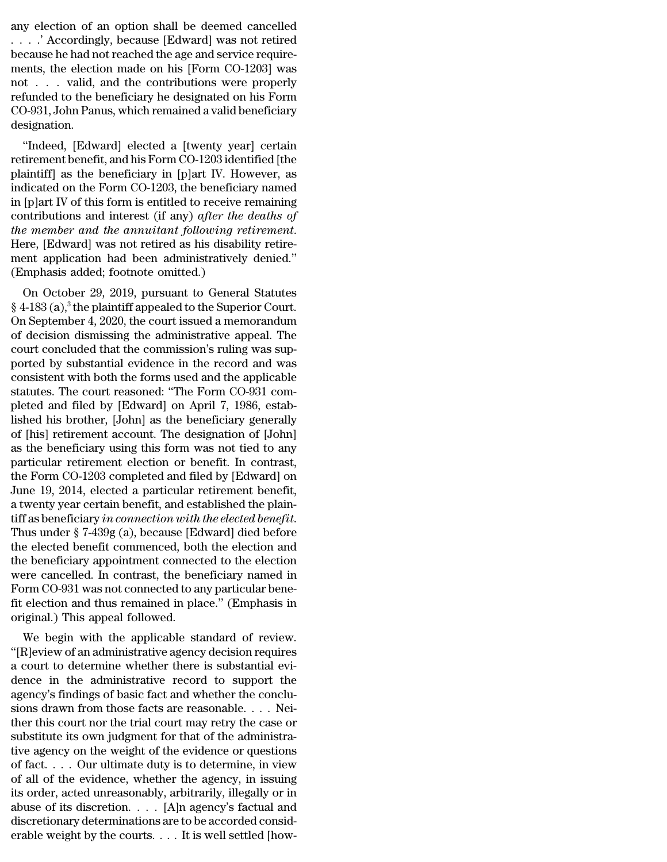any election of an option shall be deemed cancelled<br>. . . . . . . Accordingly, because [Edward] was not retired<br>because he had not reached the age and service require any election of an option shall be deemed cancelled<br> $\ldots$  .' Accordingly, because [Edward] was not retired<br>because he had not reached the age and service require-<br>monts, the election made on his [Eorm CO 1203] was any election of an option shall be deemed cancelled<br>  $\ldots$   $\therefore$  Accordingly, because [Edward] was not retired<br>
because he had not reached the age and service require-<br>
ments, the election made on his [Form CO-1203] was<br> any election of an option shall be deemed cancelled<br>  $\ldots$   $\cdot$  Accordingly, because [Edward] was not retired<br>
because he had not reached the age and service require-<br>
ments, the election made on his [Form CO-1203] was<br>
n any election of an option shall be deemed cancelled<br>
. . . . ' Accordingly, because [Edward] was not retired<br>
because he had not reached the age and service require-<br>
ments, the election made on his [Form CO-1203] was<br>
no refunded to the beneficiary he designated on his Form any election of an option shall be deemed cancelled<br>
....' Accordingly, because [Edward] was not retired<br>
because he had not reached the age and service require-<br>
ments, the election made on his [Form CO-1203] was<br>
not ... designation. Example 1 and not reached the age and service require-<br>
ents, the election made on his [Form CO-1203] was<br>
t . . . . valid, and the contributions were properly<br>
funded to the beneficiary he designated on his Form<br>
D-931, refunded to the beneficiary he designated on his Form<br>refunded to the beneficiary he designated on his Form<br>CO-931, John Panus, which remained a valid beneficiary<br>designation.<br>"Indeed, [Edward] elected a [twenty year] cert

not The Unit of the beneficiary he designated on his Form<br>CO-931, John Panus, which remained a valid beneficiary<br>designation.<br>"Indeed, [Edward] elected a [twenty year] certain<br>retirement benefit, and his Form CO-1203 ident refunded to the beneficiary he designated on his Form<br>CO-931, John Panus, which remained a valid beneficiary<br>designation.<br>"Indeed, [Edward] elected a [twenty year] certain<br>retirement benefit, and his Form CO-1203 identifie CO-551, John Falus, which remained a valid benefictary<br>designation.<br>"Indeed, [Edward] elected a [twenty year] certain<br>retirement benefit, and his Form CO-1203 identified [the<br>plaintiff] as the beneficiary in [p]art IV. How "Indeed, [Edward] elected a [twenty year] certain<br>retirement benefit, and his Form CO-1203 identified [the<br>plaintiff] as the beneficiary in [p]art IV. However, as<br>indicated on the Form CO-1203, the beneficiary named<br>in [p] "Indeed, [Edward] elected a [twenty year] certain<br>retirement benefit, and his Form CO-1203 identified [the<br>plaintiff] as the beneficiary in [p]art IV. However, as<br>indicated on the Form CO-1203, the beneficiary named<br>in [p] plaintiff] as the beneficiary in [p]art IV. However, as<br>indicated on the Form CO-1203, the beneficiary named<br>in [p]art IV of this form is entitled to receive remaining<br>contributions and interest (if any) *after the deaths* indicated on the Form CO-1203, the beneficia<br>in [p]art IV of this form is entitled to receive r<br>contributions and interest (if any) *after the*<br>*the member and the annuitant following re*<br>Here, [Edward] was not retired as plat IV of this form is entitled to receive remaining<br>intributions and interest (if any) *after the deaths of*<br> $e$  *member and the annuitant following retirement*.<br>Pre, [Edward] was not retired as his disability retire-<br>e Following and interest (if any) ujter the deaths of<br>the member and the annuitant following retirement.<br>Here, [Edward] was not retired as his disability retire-<br>ment application had been administratively denied."<br>(Emphasis

the member and the annuitant jouourny retirement.<br>Here, [Edward] was not retired as his disability retire-<br>ment application had been administratively denied."<br>(Emphasis added; footnote omitted.)<br>On October 29, 2019, pursua There, [Edward] was not retired as its disability retire-<br>ment application had been administratively denied."<br>(Emphasis added; footnote omitted.)<br>On October 29, 2019, pursuant to General Statutes<br>§ 4-183 (a),<sup>3</sup> the plaint (Emphasis added; footnote omitted.)<br>
On October 29, 2019, pursuant to General Statutes<br>
§ 4-183 (a),<sup>3</sup> the plaintiff appealed to the Superior Court.<br>
On September 4, 2020, the court issued a memorandum<br>
of decision dismi On October 29, 2019, pursuant to General Statutes<br>
§ 4-183 (a),<sup>3</sup> the plaintiff appealed to the Superior Court.<br>
On September 4, 2020, the court issued a memorandum<br>
of decision dismissing the administrative appeal. The<br> On October 29, 2019, pursuant to General Statutes  $\S$  4-183 (a),<sup>3</sup> the plaintiff appealed to the Superior Court.<br>On September 4, 2020, the court issued a memorandum<br>of decision dismissing the administrative appeal. The<br>c  $\S$  4-183 (a),<sup>3</sup> the plaintiff appealed to the Superior Court.<br>On September 4, 2020, the court issued a memorandum<br>of decision dismissing the administrative appeal. The<br>court concluded that the commission's ruling was su On September 4, 2020, the court issued a memorandum<br>of decision dismissing the administrative appeal. The<br>court concluded that the commission's ruling was sup-<br>ported by substantial evidence in the record and was<br>consisten of decision dismissing the administrative appeal. The<br>court concluded that the commission's ruling was sup-<br>ported by substantial evidence in the record and was<br>consistent with both the forms used and the applicable<br>statut court concluded that the commission's ruling was sup-<br>ported by substantial evidence in the record and was<br>consistent with both the forms used and the applicable<br>statutes. The court reasoned: "The Form CO-931 com-<br>pleted a ported by substantial evidence in the record and was<br>consistent with both the forms used and the applicable<br>statutes. The court reasoned: "The Form CO-931 com-<br>pleted and filed by [Edward] on April 7, 1986, estab-<br>lished h consistent with both the forms used and the applicable<br>statutes. The court reasoned: "The Form CO-931 com-<br>pleted and filed by [Edward] on April 7, 1986, estab-<br>lished his brother, [John] as the beneficiary generally<br>of [h statutes. The court reasoned: "The Form CO-931 completed and filed by [Edward] on April 7, 1986, established his brother, [John] as the beneficiary generally of [his] retirement account. The designation of [John] as the be pleted and filed by [Edward] on April 7, 1986, established his brother, [John] as the beneficiary generally of [his] retirement account. The designation of [John] as the beneficiary using this form was not tied to any part lished his brother, [John] as the beneficiary generally<br>of [his] retirement account. The designation of [John]<br>as the beneficiary using this form was not tied to any<br>particular retirement election or benefit. In contrast, of [his] retirement account. The designation of [John]<br>as the beneficiary using this form was not tied to any<br>particular retirement election or benefit. In contrast,<br>the Form CO-1203 completed and filed by [Edward] on<br>June particular retirement election or benefit. In contrast,<br>the Form CO-1203 completed and filed by [Edward] on<br>June 19, 2014, elected a particular retirement benefit,<br>a twenty year certain benefit, and established the plain-<br> the Form CO-1203 completed and filed by [Edward] on<br>June 19, 2014, elected a particular retirement benefit,<br>a twenty year certain benefit, and established the plain-<br>tiff as beneficiary in connection with the elected bene June 19, 2014, elected a particular retirement benefit,<br>a twenty year certain benefit, and established the plain-<br>tiff as beneficiary in connection with the elected benefit.<br>Thus under § 7-439g (a), because [Edward] died b a twenty year certain benefit, and established the plaintiff as beneficiary in connection with the elected benefit.<br>Thus under § 7-439g (a), because [Edward] died before<br>the elected benefit commenced, both the election and tiff as beneficiary *in connection with the elected benefit*.<br>Thus under § 7-439g (a), because [Edward] died before<br>the elected benefit commenced, both the election and<br>the beneficiary appointment connected to the election Thus under § 7-439g (a), because [Ed<br>the elected benefit commenced, botl<br>the beneficiary appointment connect<br>were cancelled. In contrast, the ben<br>Form CO-931 was not connected to an<br>fit election and thus remained in pla<br>or E elected benefit confinenced, bout the election and<br>e beneficiary appointment connected to the election<br>prm CO-931 was not connected to any particular bene-<br>election and thus remained in place." (Emphasis in<br>iginal.) This the beneficiary appointment connected to the efection<br>
were cancelled. In contrast, the beneficiary named in<br>
Form CO-931 was not connected to any particular bene-<br>
fit election and thus remained in place." (Emphasis in<br>
o

were cancelled. In contrast, the beneficially handed in<br>Form CO-931 was not connected to any particular bene-<br>fit election and thus remained in place." (Emphasis in<br>original.) This appeal followed.<br>We begin with the applic Form CO-351 was not connected to any particular bene-<br>fit election and thus remained in place." (Emphasis in<br>original.) This appeal followed.<br>We begin with the applicable standard of review.<br>"[R]eview of an administrative In election and thus remained in place. (Emphasis in original.) This appeal followed.<br>
We begin with the applicable standard of review.<br>
"[R]eview of an administrative agency decision requires<br>
a court to determine whether Signal.) This appear followed.<br>
We begin with the applicable standard of review.<br>
"[R]eview of an administrative agency decision requires<br>
a court to determine whether there is substantial evi-<br>
dence in the administrative We begin with the applicable standard of review.<br>
"[R]eview of an administrative agency decision requires<br>
a court to determine whether there is substantial evi-<br>
dence in the administrative record to support the<br>
agency's "[R]eview of an administrative agency decision requires<br>a court to determine whether there is substantial evi-<br>dence in the administrative record to support the<br>agency's findings of basic fact and whether the conclu-<br>sion a court to determine whether there is substantial evidence in the administrative record to support the agency's findings of basic fact and whether the conclusions drawn from those facts are reasonable. . . . Neither this c dence in the administrative record to support the<br>agency's findings of basic fact and whether the conclu-<br>sions drawn from those facts are reasonable. . . . Nei-<br>ther this court nor the trial court may retry the case or<br>su agency's findings of basic fact and whether the conclusions drawn from those facts are reasonable. . . . Neither this court nor the trial court may retry the case or substitute its own judgment for that of the administrati sions drawn from those facts are reasonable. . . . Neither this court nor the trial court may retry the case or substitute its own judgment for that of the administrative agency on the weight of the evidence or questions ther this court nor the trial court may retry the case or<br>substitute its own judgment for that of the administra-<br>tive agency on the weight of the evidence or questions<br>of fact.... Our ultimate duty is to determine, in vi substitute its own judgment for that of the administrative agency on the weight of the evidence or questions of fact.... Our ultimate duty is to determine, in view of all of the evidence, whether the agency, in issuing it tive agency on the weight of the evidence or questions of fact. . . . Our ultimate duty is to determine, in view of all of the evidence, whether the agency, in issuing its order, acted unreasonably, arbitrarily, illegally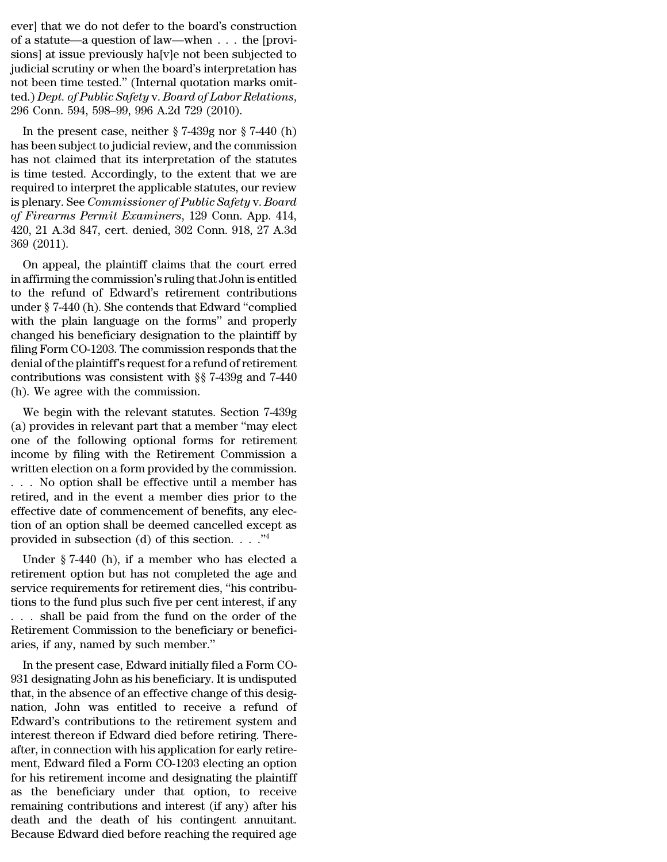ever] that we do not defer to the board's construction<br>of a statute—a question of law—when . . . the [provisions] at issue provisions] at issue  $\frac{1}{2}$ ever] that we do not defer to the board's construction<br>of a statute—a question of law—when  $\dots$  the [provi-<br>sions] at issue previously ha[v]e not been subjected to<br>indicial scrutiny or when the board's interpretation has ever] that we do not defer to the board's construction<br>of a statute—a question of law—when  $\dots$  the [provi-<br>sions] at issue previously ha[v]e not been subjected to<br>judicial scrutiny or when the board's interpretation has<br> ever] that we do not defer to the board's construction<br>of a statute—a question of law—when  $\dots$  the [provi-<br>sions] at issue previously ha[v]e not been subjected to<br>judicial scrutiny or when the board's interpretation has<br> ever] that we do not defer to the board's construction<br>of a statute—a question of law—when  $\ldots$  the [provi-<br>sions] at issue previously ha[v]e not been subjected to<br>judicial scrutiny or when the board's interpretation has ever] that we do not defer to the board's construction<br>of a statute—a question of law—when . . . the [provi-<br>sions] at issue previously ha[v]e not been subjected to<br>judicial scrutiny or when the board's interpretation has<br> a statute—a question of law—when  $\ldots$  the [provi-<br>ons] at issue previously ha[v]e not been subjected to<br>dicial scrutiny or when the board's interpretation has<br>t been time tested." (Internal quotation marks omit-<br>d.) Dept sions) at issue previously ha<sub>l</sub>  $v$  je not been subjected to judicial scrutiny or when the board's interpretation has<br>not been time tested." (Internal quotation marks omit-<br>ted.) *Dept. of Public Safety v. Board of Labor* 

has not been time tested." (Internal quotation marks omitted.) *Dept. of Public Safety v. Board of Labor Relations*, 296 Conn. 594, 598–99, 996 A.2d 729 (2010).<br>In the present case, neither § 7-439g nor § 7-440 (h) has be from been time tested. (internal quotation marks onlited.) Dept. of Public Safety v. Board of Labor Relations,<br>296 Conn. 594, 598–99, 996 A.2d 729 (2010).<br>In the present case, neither § 7-439g nor § 7-440 (h)<br>has been sub red. *Dept. of Fuotic safety* v. *board of Labor Redations*,<br>296 Conn. 594, 598–99, 996 A.2d 729 (2010).<br>In the present case, neither  $\S 7-439g$  nor  $\S 7-440$  (h)<br>has been subject to judicial review, and the commission<br>ha 250 Confi. 354, 356–55, 550 A.2d 725 (2010).<br>
In the present case, neither § 7-439g nor § 7-440 (h)<br>
has been subject to judicial review, and the commission<br>
has not claimed that its interpretation of the statutes<br>
is time In the present case, neither § 7-439g nor § 7-440 (h)<br>has been subject to judicial review, and the commission<br>has not claimed that its interpretation of the statutes<br>is time tested. Accordingly, to the extent that we are<br>r has been subject to judicial review, and the commission<br>has not claimed that its interpretation of the statutes<br>is time tested. Accordingly, to the extent that we are<br>required to interpret the applicable statutes, our revi has not claimed that its interpretation of the statutes<br>is time tested. Accordingly, to the extent that we are<br>required to interpret the applicable statutes, our review<br>is plenary. See *Commissioner of Public Safety* v. *B* the tested. Accordingly, to the extent that we are<br>quired to interpret the applicable statutes, our review<br>plenary. See *Commissioner of Public Safety v. Board*<br>Firearms Permit Examiners, 129 Conn. App. 414,<br>0, 21 A.3d 847 required to interpret the applicable statutes, our review<br>is plenary. See *Commissioner of Public Safety v. Board*<br>of *Firearms Permit Examiners*, 129 Conn. App. 414,<br>420, 21 A.3d 847, cert. denied, 302 Conn. 918, 27 A.3d<br>

to the refund of Firearms Permit Examiners, 129 Conn. App. 414, 420, 21 A.3d 847, cert. denied, 302 Conn. 918, 27 A.3d 369 (2011).<br>On appeal, the plaintiff claims that the court erred in affirming the commission's ruling by *Priedriks Lemit Examiners*, 125 Collii. App. 414, 420, 21 A.3d 847, cert. denied, 302 Conn. 918, 27 A.3d 369 (2011).<br>On appeal, the plaintiff claims that the court erred<br>in affirming the commission's ruling that John i  $420, 21$  A.5d  $647$ , Cert. defined,  $502$  Colint.  $516, 27$  A.5d  $369$  (2011).<br>On appeal, the plaintiff claims that the court erred<br>in affirming the commission's ruling that John is entitled<br>to the refund of Edward's ret obs (2011).<br>
On appeal, the plaintiff claims that the court erred<br>
in affirming the commission's ruling that John is entitled<br>
to the refund of Edward's retirement contributions<br>
under § 7-440 (h). She contends that Edwar On appeal, the plaintiff claims that the court erred<br>in affirming the commission's ruling that John is entitled<br>to the refund of Edward's retirement contributions<br>under  $\S$  7-440 (h). She contends that Edward "complied<br>wi in affirming the commission's ruling that John is entitled<br>to the refund of Edward's retirement contributions<br>under  $\S$  7-440 (h). She contends that Edward "complied<br>with the plain language on the forms" and properly<br>chan to the refund of Edward's retirement contributions<br>under  $\S$  7-440 (h). She contends that Edward "complied<br>with the plain language on the forms" and properly<br>changed his beneficiary designation to the plaintiff by<br>filing under § 7-440 (h). She contends that Edwa<br>with the plain language on the forms"<br>changed his beneficiary designation to the<br>filing Form CO-1203. The commission resp<br>denial of the plaintiff's request for a refund<br>contributi In the plain language on the forms and property<br>anged his beneficiary designation to the plaintiff by<br>ing Form CO-1203. The commission responds that the<br>nial of the plaintiff's request for a refund of retirement<br>ntributio changed ins beneficially designation to the plantiff by<br>filing Form CO-1203. The commission responds that the<br>denial of the plaintiff's request for a refund of retirement<br>contributions was consistent with §§ 7-439g and 7-4

ming Form CO-1205. The commission responds that the<br>denial of the plaintiff's request for a refund of retirement<br>contributions was consistent with §§ 7-439g and 7-440<br>(h). We agree with the commission.<br>We begin with the r defination the plantiful stequest for a return of retirement<br>contributions was consistent with §§ 7-439g and 7-440<br>(h). We agree with the commission.<br>We begin with the relevant statutes. Section 7-439g<br>(a) provides in rele (h). We agree with the commission.<br>We begin with the relevant statutes. Section 7-439g<br>(a) provides in relevant part that a member "may elect<br>one of the following optional forms for retirement<br>income by filing with the Re (ii). We agree with the relevant statutes. Section 7-439g<br>
(a) provides in relevant part that a member "may elect<br>
one of the following optional forms for retirement<br>
income by filing with the Retirement Commission a<br>
wri We begin with the relevant statutes. Section 7-439g<br>(a) provides in relevant part that a member "may elect<br>one of the following optional forms for retirement<br>income by filing with the Retirement Commission a<br>written elect (a) provides in relevant part that a member "may elect<br>one of the following optional forms for retirement<br>income by filing with the Retirement Commission a<br>written election on a form provided by the commission.<br> $\dots$  No op one of the following optional forms for retirement<br>income by filing with the Retirement Commission a<br>written election on a form provided by the commission.<br> $\dots$  No option shall be effective until a member has<br>retired, and income by filing with the Retirement Commission a<br>written election on a form provided by the commission.<br>... No option shall be effective until a member has<br>retired, and in the event a member dies prior to the<br>effective d No option shall be effective until a member has<br>tired, and in the event a member dies prior to the<br>fective date of commencement of benefits, any elec-<br>no of an option shall be deemed cancelled except as<br>ovided in subsecti

retired, and in the event a member dies prior to the effective date of commencement of benefits, any election of an option shall be deemed cancelled except as provided in subsection (d) of this section.  $\dots$ <sup>74</sup><br>Under § 7 setted, and in the event a member dies prior to the effective date of commencement of benefits, any election of an option shall be deemed cancelled except as provided in subsection (d) of this section.  $\cdot \cdot \cdot$ <sup>24</sup><br>Under enective date of confinement of benefits, any election of an option shall be deemed cancelled except as<br>provided in subsection (d) of this section.  $\ldots$ <sup>74</sup><br>Under § 7-440 (h), if a member who has elected a<br>retirement opt Let the subsection (d) of this section.  $\ldots$  ."<br>
Under § 7-440 (h), if a member who has elected a<br>
retirement option but has not completed the age and<br>
service requirements for retirement dies, "his contribu-<br>
tions to t Drovided in subsection (d) or this section.  $\ldots$ <br>Under § 7-440 (h), if a member who has elected a<br>retirement option but has not completed the age and<br>service requirements for retirement dies, "his contribu-<br>tions to the Under § 7-440 (h), if a member who has<br>retirement option but has not completed t<br>service requirements for retirement dies, "hi<br>tions to the fund plus such five per cent inte<br> $\dots$  shall be paid from the fund on the o<br>Retir In the present case, The present case, this contribu-<br>In the fund plus such five per cent interest, if any<br>In the paid from the fund on the order of the<br>different Commission to the beneficiary or benefici-<br>ies, if any, nam Service requirements for retriement thes, and contributions to the fund plus such five per cent interest, if any  $\ldots$  shall be paid from the fund on the order of the Retirement Commission to the beneficiary or beneficiar

tons to the rund plus such live per cent interest, if any<br>
... shall be paid from the fund on the order of the<br>
Retirement Commission to the beneficiary or beneficiaries, if any, named by such member."<br>
In the present case nation, Silan be paid from the fund of the order of the Retirement Commission to the beneficiary or beneficiaries, if any, named by such member."<br>In the present case, Edward initially filed a Form CO-931 designating John a Edward's contributions of the beneficial of beneficial and the present case, Edward initially filed a Form CO-<br>931 designating John as his beneficiary. It is undisputed<br>that, in the absence of an effective change of this d interest the present case, Edward initially filed a Form CO-<br>931 designating John as his beneficiary. It is undisputed<br>that, in the absence of an effective change of this designation, John was entitled to receive a refund In the present case, Edward initially filed a Form CO-931 designating John as his beneficiary. It is undisputed that, in the absence of an effective change of this designation, John was entitled to receive a refund of Edwa 931 designating John as his beneficiary. It is undisputed<br>that, in the absence of an effective change of this designation, John was entitled to receive a refund of<br>Edward's contributions to the retirement system and<br>intere that, in the absence of an effective change of this designation, John was entitled to receive a refund of Edward's contributions to the retirement system and interest thereon if Edward died before retiring. Thereafter, in nation, John was entitled to receive a refund of<br>Edward's contributions to the retirement system and<br>interest thereon if Edward died before retiring. There-<br>after, in connection with his application for early retire-<br>ment, Edward's contributions to the retirement system and<br>interest thereon if Edward died before retiring. There-<br>after, in connection with his application for early retire-<br>ment, Edward filed a Form CO-1203 electing an option<br>f interest thereon if Edward died before retiring. Thereafter, in connection with his application for early retirement, Edward filed a Form CO-1203 electing an option for his retirement income and designating the plaintiff a after, in connection with his application for early retirement, Edward filed a Form CO-1203 electing an option for his retirement income and designating the plaintiff as the beneficiary under that option, to receive remain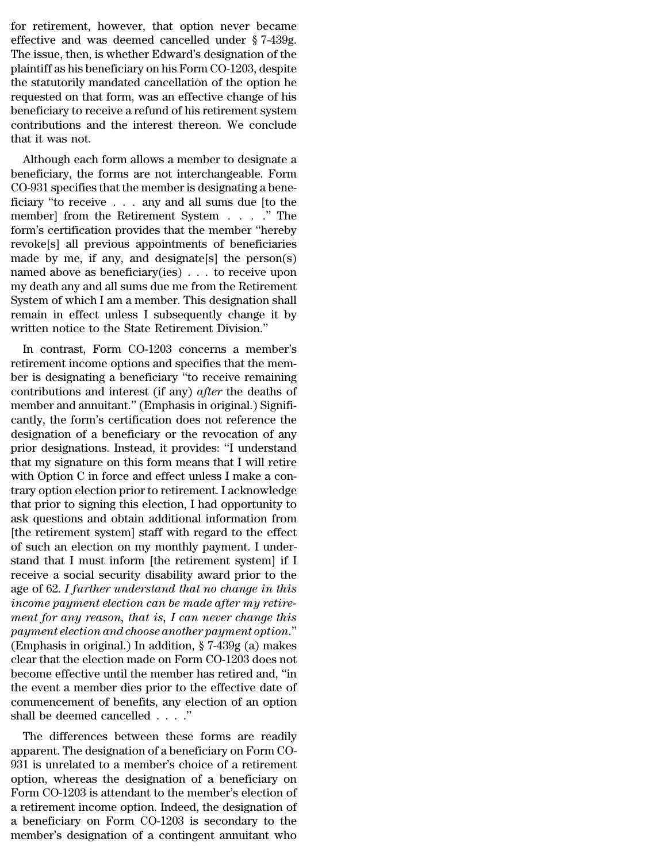for retirement, however, that option never became<br>effective and was deemed cancelled under § 7-439g.<br>The issue then is whether Edward's designation of the for retirement, however, that option never became<br>effective and was deemed cancelled under  $\S 7-439g$ .<br>The issue, then, is whether Edward's designation of the<br>plaintiff as his bonoficiary on his Form CO 1203 despite for retirement, however, that option never became<br>effective and was deemed cancelled under  $\S 7-439g$ .<br>The issue, then, is whether Edward's designation of the<br>plaintiff as his beneficiary on his Form CO-1203, despite<br>the for retirement, however, that option never became<br>effective and was deemed cancelled under  $\S 7-439g$ .<br>The issue, then, is whether Edward's designation of the<br>plaintiff as his beneficiary on his Form CO-1203, despite<br>the for retirement, however, that option never became<br>effective and was deemed cancelled under  $\S 7-439g$ .<br>The issue, then, is whether Edward's designation of the<br>plaintiff as his beneficiary on his Form CO-1203, despite<br>the for retirement, however, that option never became<br>effective and was deemed cancelled under  $\S 7-439g$ .<br>The issue, then, is whether Edward's designation of the<br>plaintiff as his beneficiary on his Form CO-1203, despite<br>the for retirement, however, that option never became<br>effective and was deemed cancelled under  $\S 7-439g$ .<br>The issue, then, is whether Edward's designation of the<br>plaintiff as his beneficiary on his Form CO-1203, despite<br>the effective and was deemed cancelled under § 7-439g.<br>The issue, then, is whether Edward's designation of the<br>plaintiff as his beneficiary on his Form CO-1203, despite<br>the statutorily mandated cancellation of the option he<br>re The issue, then, is wh<br>plaintiff as his benefi<br>the statutorily mand<br>requested on that for<br>beneficiary to receive<br>contributions and that it was not.<br>Although each for: antificant as its benefictary of fits Form CO-1205, despite<br>e statutorily mandated cancellation of the option he<br>quested on that form, was an effective change of his<br>neficiary to receive a refund of his retirement system<br>n the statutory manuated cancenation of the option he<br>requested on that form, was an effective change of his<br>beneficiary to receive a refund of his retirement system<br>contributions and the interest thereon. We conclude<br>that i

requested on that form, was an effective change of his<br>beneficiary to receive a refund of his retirement system<br>contributions and the interest thereon. We conclude<br>that it was not.<br>Although each form allows a member to de beneficiary to receive a rerund of its retriement system<br>contributions and the interest thereon. We conclude<br>that it was not.<br>Although each form allows a member to designate a<br>beneficiary, the forms are not interchangeabl contributions and the interest thereon. We concrude<br>that it was not.<br>Although each form allows a member to designate a<br>beneficiary, the forms are not interchangeable. Form<br>CO-931 specifies that the member is designating a Although each form allows a member to designate a<br>beneficiary, the forms are not interchangeable. Form<br>CO-931 specifies that the member is designating a bene-<br>ficiary "to receive . . . any and all sums due [to the<br>member] Although each form allows a member to designate a<br>beneficiary, the forms are not interchangeable. Form<br>CO-931 specifies that the member is designating a bene-<br>ficiary "to receive . . . any and all sums due [to the<br>member] beneficiary, the forms are not interchangeable. Form<br>CO-931 specifies that the member is designating a bene-<br>ficiary "to receive  $\dots$  any and all sums due [to the<br>member] from the Retirement System  $\dots$ ." The<br>form's certi CO-931 specifies that the member is designating a beneficiary "to receive . . . any and all sums due [to the<br>member] from the Retirement System . . . . " The<br>form's certification provides that the member "hereby<br>revoke[s] ficiary "to receive . . . any and all sums due [to the<br>member] from the Retirement System . . . . ." The<br>form's certification provides that the member "hereby<br>revoke[s] all previous appointments of beneficiaries<br>made by m member] from the Retirement System  $\ldots$   $\ldots$  "The<br>form's certification provides that the member "hereby<br>revoke[s] all previous appointments of beneficiaries<br>made by me, if any, and designate[s] the person(s)<br>named above form's certification provides that the member "hereby<br>revoke[s] all previous appointments of beneficiaries<br>made by me, if any, and designate[s] the person(s)<br>named above as beneficiary(ies) . . . to receive upon<br>my death a revoke[s] all previous appointments of beneficiarie made by me, if any, and designate[s] the person(s named above as beneficiary(ies)  $\ldots$  to receive upon my death any and all sums due me from the Retiremen System of whi ade by file, if any, and designates if the person(s)<br>
med above as beneficiary(ies) . . . to receive upon<br>
y death any and all sums due me from the Retirement<br>
stem of which I am a member. This designation shall<br>
main in e rained above as benencially (ies)  $\ldots$  to receive upon<br>my death any and all sums due me from the Retirement<br>System of which I am a member. This designation shall<br>remain in effect unless I subsequently change it by<br>writte

began any and an sunts due the front the Rethenent<br>System of which I am a member. This designation shall<br>remain in effect unless I subsequently change it by<br>written notice to the State Retirement Division."<br>In contrast, Fo system of which I all a hieliber. This designation shall<br>remain in effect unless I subsequently change it by<br>written notice to the State Retirement Division."<br>In contrast, Form CO-1203 concerns a member's<br>retirement income Fernant in effect uness 1 subsequently change it by<br>written notice to the State Retirement Division."<br>In contrast, Form CO-1203 concerns a member's<br>retirement income options and specifies that the mem-<br>ber is designating a In contrast, Form CO-1203 concerns a member's<br>retirement income options and specifies that the mem-<br>ber is designating a beneficiary "to receive remaining<br>contributions and interest (if any) *after* the deaths of<br>member an In contrast, Form CO-1203 concerns a member's<br>retirement income options and specifies that the mem-<br>ber is designating a beneficiary "to receive remaining<br>contributions and interest (if any) *after* the deaths of<br>member a retirement income options and specifies that the member is designating a beneficiary "to receive remaining contributions and interest (if any) *after* the deaths of member and annuitant." (Emphasis in original.) Significan ber is designating a beneficiary "to receive remaining<br>contributions and interest (if any) *after* the deaths of<br>member and annuitant." (Emphasis in original.) Signifi-<br>cantly, the form's certification does not reference t contributions and interest (if any) *after* the deaths of<br>member and annuitant." (Emphasis in original.) Signifi-<br>cantly, the form's certification does not reference the<br>designation of a beneficiary or the revocation of an member and annuitant." (Emphasis in original.) Significantly, the form's certification does not reference the designation of a beneficiary or the revocation of any prior designations. Instead, it provides: "I understand th cantly, the form's certification does not reference the<br>designation of a beneficiary or the revocation of any<br>prior designations. Instead, it provides: "I understand<br>that my signature on this form means that I will retire<br> designation of a beneficiary or the revocation of any<br>prior designations. Instead, it provides: "I understand<br>that my signature on this form means that I will retire<br>with Option C in force and effect unless I make a con-<br>t prior designations. Instead, it provides: "I understand<br>that my signature on this form means that I will retire<br>with Option C in force and effect unless I make a con-<br>trary option election prior to retirement. I acknowledg that my signature on this form means that I will retire<br>with Option C in force and effect unless I make a con-<br>trary option election prior to retirement. I acknowledge<br>that prior to signing this election, I had opportunity with Option C in force and effect unless I make a con-<br>trary option election prior to retirement. I acknowledge<br>that prior to signing this election, I had opportunity to<br>ask questions and obtain additional information fro trary option election prior to retirement. I acknowledge<br>that prior to signing this election, I had opportunity to<br>ask questions and obtain additional information from<br>[the retirement system] staff with regard to the effec that prior to signing this election, I had opportunity to<br>ask questions and obtain additional information from<br>[the retirement system] staff with regard to the effect<br>of such an election on my monthly payment. I under-<br>sta ask questions and obtain additional information from<br>[the retirement system] staff with regard to the effect<br>of such an election on my monthly payment. I under-<br>stand that I must inform [the retirement system] if I<br>receive [the retirement system] staff with regard to the effect<br>of such an election on my monthly payment. I under-<br>stand that I must inform [the retirement system] if I<br>receive a social security disability award prior to the<br>age of such an election on my monthly payment. I understand that I must inform [the retirement system] if I<br>receive a social security disability award prior to the<br>age of 62. I further understand that no change in this<br>income stand that I must inform [the retirement system] if I<br>receive a social security disability award prior to the<br>age of 62. I further understand that no change in this<br>income payment election can be made after my retire-<br>ment receive a social security disability award prior to the<br>age of 62. I further understand that no change in this<br>income payment election can be made after my retire-<br>ment for any reason, that is, I can never change this<br>paym age of 62. I further understand that no change in this<br>income payment election can be made after my retire-<br>ment for any reason, that is, I can never change this<br>payment election and choose another payment option."<br>(Empha income payment election can be made after my retirement for any reason, that is, I can never change this<br>payment election and choose another payment option."<br>(Emphasis in original.) In addition,  $\S$  7-439g (a) makes<br>clear ment for any reason, that is, I can never change this<br>payment election and choose another payment option."<br>(Emphasis in original.) In addition,  $\S 7-439g$  (a) makes<br>clear that the election made on Form CO-1203 does not<br>be payment election and choose another po<br>(Emphasis in original.) In addition,  $\S$  7-<br>clear that the election made on Form CO<br>become effective until the member has<br>the event a member dies prior to the e<br>commencement of benef In primes in original.) In addition,  $\frac{1}{2}$  ( $\frac{1}{2}$  and  $\frac{1}{2}$  and  $\frac{1}{2}$  are exert to the effective until the member has retired and, "in e event a member dies prior to the effective date of mmencement of ben dear that the effective until the member has retired and, "in<br>the event a member dies prior to the effective date of<br>commencement of benefits, any election of an option<br>shall be deemed cancelled . . . ."<br>The differences be

become enective until the member has retired and, in<br>the event a member dies prior to the effective date of<br>commencement of benefits, any election of an option<br>shall be deemed cancelled  $\ldots$ ."<br>The differences between the The event a member dies prior to the enective date of<br>commencement of benefits, any election of an option<br>shall be deemed cancelled  $\ldots$ ."<br>The differences between these forms are readily<br>apparent. The designation of a be Form CO-1203 is attendant to the member's election of an option<br>The differences between these forms are readily<br>apparent. The designation of a beneficiary on Form CO-<br>931 is unrelated to a member's choice of a retirement<br> The differences between these forms are readily<br>apparent. The designation of a beneficiary on Form CO-<br>931 is unrelated to a member's choice of a retirement<br>option, whereas the designation of a beneficiary on<br>Form CO-1203 The differences between these forms are readily<br>apparent. The designation of a beneficiary on Form CO-<br>931 is unrelated to a member's choice of a retirement<br>option, whereas the designation of a beneficiary on<br>Form CO-1203 apparent. The designation of a beneficiary on Form CO-931 is unrelated to a member's choice of a retirement option, whereas the designation of a beneficiary on Form CO-1203 is attendant to the member's election of a retire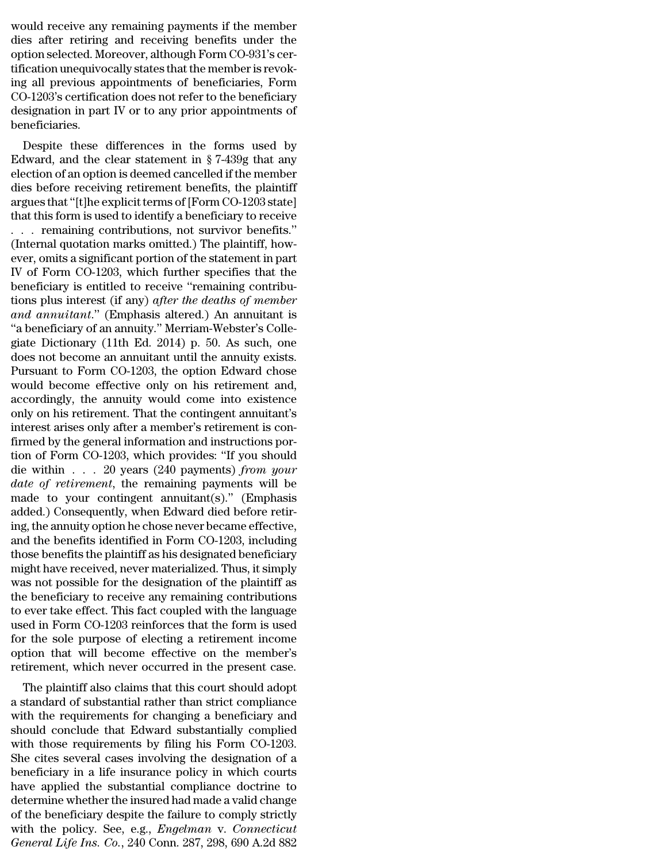would receive any remaining payments if the member<br>dies after retiring and receiving benefits under the<br>option selected Moreover although Ferm CO 931's cor would receive any remaining payments if the member<br>dies after retiring and receiving benefits under the<br>option selected. Moreover, although Form CO-931's cer-<br>tification unoquivocally states that the member is revok would receive any remaining payments if the member<br>dies after retiring and receiving benefits under the<br>option selected. Moreover, although Form CO-931's cer-<br>tification unequivocally states that the member is revok-<br>ing a would receive any remaining payments if the member<br>dies after retiring and receiving benefits under the<br>option selected. Moreover, although Form CO-931's cer-<br>tification unequivocally states that the member is revok-<br>ing a would receive any remaining payments if the member<br>dies after retiring and receiving benefits under the<br>option selected. Moreover, although Form CO-931's cer-<br>tification unequivocally states that the member is revok-<br>ing a would receive any remaining payments if the member<br>dies after retiring and receiving benefits under the<br>option selected. Moreover, although Form CO-931's cer-<br>tification unequivocally states that the member is revok-<br>ing a would receive any remaining payments if the member<br>dies after retiring and receiving benefits under the<br>option selected. Moreover, although Form CO-931's cer-<br>tification unequivocally states that the member is revok-<br>ing a beneficiaries. Fraction unequivocally states that the member is revok-<br>g all previous appointments of beneficiaries, Form<br>D-1203's certification does not refer to the beneficiary<br>signation in part IV or to any prior appointments of<br>mefi Edward in the clear statement in the constant of beneficiaries. Form<br>CO-1203's certification does not refer to the beneficiary<br>designation in part IV or to any prior appointments of<br>beneficiaries.<br>Despite these difference

rig an previous appointments of beneficiaries, Form<br>CO-1203's certification does not refer to the beneficiary<br>designation in part IV or to any prior appointments of<br>beneficiaries.<br>Despite these differences in the forms us CO-1203 s certification does not refer to the beneficiary<br>designation in part IV or to any prior appointments of<br>beneficiaries.<br>Despite these differences in the forms used by<br>Edward, and the clear statement in § 7-439g tha designation in part tv of to any prior appointments of<br>beneficiaries.<br>Edward, and the clear statement in § 7-439g that any<br>election of an option is deemed cancelled if the member<br>dies before receiving retirement benefits, Despite these differences in the forms used by<br>Edward, and the clear statement in § 7-439g that any<br>election of an option is deemed cancelled if the member<br>dies before receiving retirement benefits, the plaintiff<br>argues t Despite these differences in the forms used by<br>Edward, and the clear statement in § 7-439g that any<br>election of an option is deemed cancelled if the member<br>dies before receiving retirement benefits, the plaintiff<br>argues t Edward, and the clear statement in § 7-439g that any<br>election of an option is deemed cancelled if the member<br>dies before receiving retirement benefits, the plaintiff<br>argues that "[t]he explicit terms of [Form CO-1203 stat election of an option is deemed cancelled if the member<br>dies before receiving retirement benefits, the plaintiff<br>argues that "[t]he explicit terms of [Form CO-1203 state]<br>that this form is used to identify a beneficiary to dies before receiving retirement benefits, the plaintiff<br>argues that "[t]he explicit terms of [Form CO-1203 state]<br>that this form is used to identify a beneficiary to receive<br>... remaining contributions, not survivor benef argues that "[t]he explicit terms of [Form CO-1203 state]<br>that this form is used to identify a beneficiary to receive<br>... remaining contributions, not survivor benefits."<br>(Internal quotation marks omitted.) The plaintiff, that this form is used to identify a beneficiary to receive<br>
. . . . remaining contributions, not survivor benefits."<br>
(Internal quotation marks omitted.) The plaintiff, how-<br>
ever, omits a significant portion of the state *a.* . . . remaining contributions, not survivor benefits."<br>
(Internal quotation marks omitted.) The plaintiff, how-<br>
ever, omits a significant portion of the statement in part<br>
IV of Form CO-1203, which further specifies (Internal quotation marks omitted.) The plaintiff, how-<br>ever, omits a significant portion of the statement in part<br>IV of Form CO-1203, which further specifies that the<br>beneficiary is entitled to receive "remaining contrib ever, omits a significant portion of the statement in part<br>IV of Form CO-1203, which further specifies that the<br>beneficiary is entitled to receive "remaining contribu-<br>tions plus interest (if any) *after the deaths of memb* IV of Form CO-1203, which further specifies that the<br>beneficiary is entitled to receive "remaining contribu-<br>tions plus interest (if any) *after the deaths of member*<br>and annuitant." (Emphasis altered.) An annuitant is<br>"a beneficiary is entitled to receive "remaining contribu-<br>tions plus interest (if any) *after the deaths of member*<br>and annuitant." (Emphasis altered.) An annuitant is<br>"a beneficiary of an annuity." Merriam-Webster's Colle-<br> tions plus interest (if any) *after the deaths of member*<br>and annuitant." (Emphasis altered.) An annuitant is<br>"a beneficiary of an annuity." Merriam-Webster's Colle-<br>giate Dictionary (11th Ed. 2014) p. 50. As such, one<br>do and annuitant." (Emphasis altered.) An annuitant is<br>"a beneficiary of an annuity." Merriam-Webster's Collegiate Dictionary (11th Ed. 2014) p. 50. As such, one<br>does not become an annuitant until the annuity exists.<br>Pursuant "a beneficiary of an annuity." Merriam-Webster's Collegiate Dictionary (11th Ed. 2014) p. 50. As such, one does not become an annuitant until the annuity exists.<br>Pursuant to Form CO-1203, the option Edward chose would beco giate Dictionary (11th Ed. 2014) p. 50. As such, one<br>does not become an annuitant until the annuity exists.<br>Pursuant to Form CO-1203, the option Edward chose<br>would become effective only on his retirement and,<br>accordingly, does not become an annuitant until the annuity exists.<br>Pursuant to Form CO-1203, the option Edward chose<br>would become effective only on his retirement and,<br>accordingly, the annuity would come into existence<br>only on his ret Pursuant to Form CO-1203, the option Edward chose<br>would become effective only on his retirement and,<br>accordingly, the annuity would come into existence<br>only on his retirement. That the contingent annuitant's<br>interest aris would become effective only on his retirement and,<br>accordingly, the annuity would come into existence<br>only on his retirement. That the contingent annuitant's<br>interest arises only after a member's retirement is con-<br>firmed accordingly, the annuity would come into existence<br>
only on his retirement. That the contingent annuitant's<br>
interest arises only after a member's retirement is con-<br>
firmed by the general information and instructions poronly on his retirement. That the contingent annuitant's<br>interest arises only after a member's retirement is con-<br>firmed by the general information and instructions por-<br>tion of Form CO-1203, which provides: "If you should interest arises only after a member's retirement is confirmed by the general information and instructions portion of Form CO-1203, which provides: "If you should die within  $\ldots$  20 years (240 payments) *from your date of* firmed by the general information and instructions por-<br>tion of Form CO-1203, which provides: "If you should<br>die within . . . 20 years (240 payments) *from your*<br>date of retirement, the remaining payments will be<br>made to tion of Form CO-1203, which provides: "If you should<br>die within . . . 20 years (240 payments) *from your*<br>date of retirement, the remaining payments will be<br>made to your contingent annuitant(s)." (Emphasis<br>added.) Consequ die within . . . . 20 years (240 payments) *from your*<br>date of retirement, the remaining payments will be<br>made to your contingent annuitant(s)." (Emphasis<br>added.) Consequently, when Edward died before retir-<br>ing, the annui date of retirement, the remaining payments will be<br>made to your contingent annuitant(s)." (Emphasis<br>added.) Consequently, when Edward died before retir-<br>ing, the annuity option he chose never became effective,<br>and the bene made to your contingent annuitant(s)." (Emphasis<br>added.) Consequently, when Edward died before retir-<br>ing, the annuity option he chose never became effective,<br>and the benefits identified in Form CO-1203, including<br>those be added.) Consequently, when Edward died before retiring, the annuity option he chose never became effective,<br>and the benefits identified in Form CO-1203, including<br>those benefits the plaintiff as his designated beneficiary<br> ing, the annuity option he chose never became effective,<br>and the benefits identified in Form CO-1203, including<br>those benefits the plaintiff as his designated beneficiary<br>might have received, never materialized. Thus, it s and the benefits identified in Form CO-1203, including<br>those benefits the plaintiff as his designated beneficiary<br>might have received, never materialized. Thus, it simply<br>was not possible for the designation of the plainti those benefits the plaintiff as his designated beneficiary<br>might have received, never materialized. Thus, it simply<br>was not possible for the designation of the plaintiff as<br>the beneficiary to receive any remaining contribu might have received, never materialized. Thus, it simply<br>was not possible for the designation of the plaintiff as<br>the beneficiary to receive any remaining contributions<br>to ever take effect. This fact coupled with the langu was not possible for the designation of the plaintiff as<br>the beneficiary to receive any remaining contributions<br>to ever take effect. This fact coupled with the language<br>used in Form CO-1203 reinforces that the form is used e beneficiary to receive any remaining contributions<br>ever take effect. This fact coupled with the language<br>ed in Form CO-1203 reinforces that the form is used<br>r the sole purpose of electing a retirement income<br>tion that wi to ever take effect. This fact coupled with the language<br>used in Form CO-1203 reinforces that the form is used<br>for the sole purpose of electing a retirement income<br>option that will become effective on the member's<br>retireme

used in Form CO-1203 remordes that the form is used<br>for the sole purpose of electing a retirement income<br>option that will become effective on the member's<br>retirement, which never occurred in the present case.<br>The plaintiff For the sole purpose of electing a retirement income<br>option that will become effective on the member's<br>retirement, which never occurred in the present case.<br>The plaintiff also claims that this court should adopt<br>a standard by filing with the pecture of the member s<br>retirement, which never occurred in the present case.<br>The plaintiff also claims that this court should adopt<br>a standard of substantial rather than strict compliance<br>with the requi Fetrement, which never occurred in the present case.<br>The plaintiff also claims that this court should adopt<br>a standard of substantial rather than strict compliance<br>with the requirements for changing a beneficiary and<br>shoul The plaintiff also claims that this court should adopt<br>a standard of substantial rather than strict compliance<br>with the requirements for changing a beneficiary and<br>should conclude that Edward substantially complied<br>with th a standard of substantial rather than strict compliance<br>with the requirements for changing a beneficiary and<br>should conclude that Edward substantially complied<br>with those requirements by filing his Form CO-1203.<br>She cites with the requirements for changing a beneficiary and<br>should conclude that Edward substantially complied<br>with those requirements by filing his Form CO-1203.<br>She cites several cases involving the designation of a<br>beneficiary should conclude that Edward substantially complied<br>with those requirements by filing his Form CO-1203.<br>She cites several cases involving the designation of a<br>beneficiary in a life insurance policy in which courts<br>have appl with those requirements by filing his Form CO-1203.<br>She cites several cases involving the designation of a<br>beneficiary in a life insurance policy in which courts<br>have applied the substantial compliance doctrine to<br>determin She cites several cases involving the designation of a beneficiary in a life insurance policy in which courts have applied the substantial compliance doctrine to determine whether the insured had made a valid change of the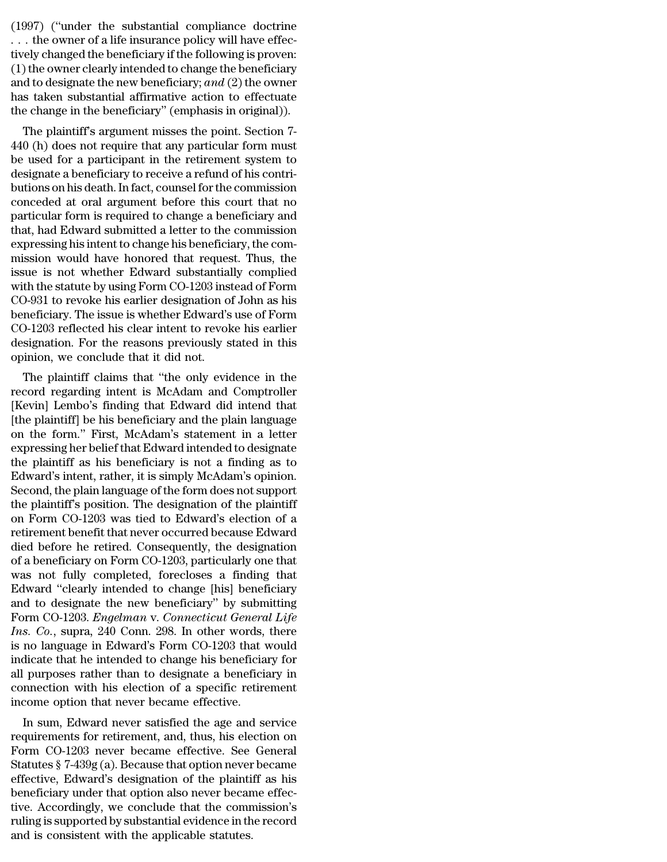$(1997)$  ("under the substantial compliance doctrine<br>...the owner of a life insurance policy will have effec-<br>tively changed the beneficiary if the following is proven: (1997) ("under the substantial compliance doctrine<br> $\ldots$  the owner of a life insurance policy will have effec-<br>tively changed the beneficiary if the following is proven:<br>(1) the owner clearly intended to change the benefi (1997) ("under the substantial compliance doctrine<br>  $\ldots$  the owner of a life insurance policy will have effec-<br>
tively changed the beneficiary if the following is proven:<br>
(1) the owner clearly intended to change the ben (1997) ("under the substantial compliance doctrine<br>  $\ldots$  the owner of a life insurance policy will have effec-<br>
tively changed the beneficiary if the following is proven:<br>
(1) the owner clearly intended to change the ben (1997) ("under the substantial compliance doctrine<br>  $\dots$  the owner of a life insurance policy will have effec-<br>
tively changed the beneficiary if the following is proven:<br>
(1) the owner clearly intended to change the bene (1997) ("under the substantial compliance doctrine<br>  $\dots$  the owner of a life insurance policy will have effec-<br>
tively changed the beneficiary if the following is proven:<br>
(1) the owner clearly intended to change the bene (1997) ("under the substantial compliance doctrine ... the owner of a life insurance policy will have effectively changed the beneficiary if the following is proven: (1) the owner clearly intended to change the beneficiar The bange of a mean is made pointly will have enectedly changed the beneficiary if the following is proven:<br>
) the owner clearly intended to change the beneficiary<br>
d to designate the new beneficiary; and (2) the owner<br>
s  $(1)$  the owner clearly interded to change the beneficiary<br>
(1) the owner clearly intended to change the beneficiary<br>
and to designate the new beneficiary; and (2) the owner<br>
has taken substantial affirmative action to ef

(1) the owner clearly intended to change the beneficiary<br>and to designate the new beneficiary; and (2) the owner<br>has taken substantial affirmative action to effectuate<br>the change in the beneficiary" (emphasis in original) and to designate the new beneficiary,  $dmd$  ( $2$ ) the owner<br>has taken substantial affirmative action to effectuate<br>the change in the beneficiary" (emphasis in original)).<br>The plaintiff's argument misses the point. Section has taken substantial animative action to enectuate<br>the change in the beneficiary" (emphasis in original)).<br>The plaintiff's argument misses the point. Section 7-<br>440 (h) does not require that any particular form must<br>be us The plaintiff's argument misses the point. Section 7-<br>440 (h) does not require that any particular form must<br>be used for a participant in the retirement system to<br>designate a beneficiary to receive a refund of his contri-<br> The plaintiff's argument misses the point. Section 7-<br>440 (h) does not require that any particular form must<br>be used for a participant in the retirement system to<br>designate a beneficiary to receive a refund of his contri-<br> 440 (h) does not require that any particular form must<br>be used for a participant in the retirement system to<br>designate a beneficiary to receive a refund of his contri-<br>butions on his death. In fact, counsel for the commiss be used for a participant in the retirement system to<br>designate a beneficiary to receive a refund of his contri-<br>butions on his death. In fact, counsel for the commission<br>conceded at oral argument before this court that no designate a beneficiary to receive a refund of his contributions on his death. In fact, counsel for the commission<br>conceded at oral argument before this court that no<br>particular form is required to change a beneficiary and butions on his death. In fact, counsel for the commission<br>conceded at oral argument before this court that no<br>particular form is required to change a beneficiary and<br>that, had Edward submitted a letter to the commission<br>ex conceded at oral argument before this court that no<br>particular form is required to change a beneficiary and<br>that, had Edward submitted a letter to the commission<br>expressing his intent to change his beneficiary, the com-<br>mi particular form is required to change a beneficiary and<br>that, had Edward submitted a letter to the commission<br>expressing his intent to change his beneficiary, the com-<br>mission would have honored that request. Thus, the<br>iss that, had Edward submitted a letter to the commission<br>expressing his intent to change his beneficiary, the com-<br>mission would have honored that request. Thus, the<br>issue is not whether Edward substantially complied<br>with the expressing his intent to change his beneficiary, the commission would have honored that request. Thus, the issue is not whether Edward substantially complied with the statute by using Form CO-1203 instead of Form CO-931 to mission would have honored that request. Thus, the<br>issue is not whether Edward substantially complied<br>with the statute by using Form CO-1203 instead of Form<br>CO-931 to revoke his earlier designation of John as his<br>beneficia issue is not whether Edward substantial<br>with the statute by using Form CO-1203 inst<br>CO-931 to revoke his earlier designation of<br>beneficiary. The issue is whether Edward's<br>CO-1203 reflected his clear intent to revok<br>designa In the statute by using FOIII CO-1205 instead of FOIII<br>D-931 to revoke his earlier designation of John as his<br>meficiary. The issue is whether Edward's use of Form<br>D-1203 reflected his clear intent to revoke his earlier<br>sig CO-351 to revoke his earlier designation of John as his<br>beneficiary. The issue is whether Edward's use of Form<br>CO-1203 reflected his clear intent to revoke his earlier<br>designation. For the reasons previously stated in this

behenciary. The issue is whether Edward's use of Form<br>CO-1203 reflected his clear intent to revoke his earlier<br>designation. For the reasons previously stated in this<br>opinion, we conclude that it did not.<br>The plaintiff clai CO-1203 renected ins clear intent to revoke ins earlier<br>designation. For the reasons previously stated in this<br>opinion, we conclude that it did not.<br>The plaintiff claims that "the only evidence in the<br>record regarding inte designation. For the Feasons previously stated in this<br>opinion, we conclude that it did not.<br>The plaintiff claims that "the only evidence in the<br>record regarding intent is McAdam and Comptroller<br>[Kevin] Lembo's finding tha opmon, we conclude that it dud not.<br>
The plaintiff claims that "the only evidence in the<br>
record regarding intent is McAdam and Comptroller<br>
[Kevin] Lembo's finding that Edward did intend that<br>
[the plaintiff] be his benef The plaintiff claims that "the only evidence in the<br>record regarding intent is McAdam and Comptroller<br>[Kevin] Lembo's finding that Edward did intend that<br>[the plaintiff] be his beneficiary and the plain language<br>on the for record regarding intent is McAdam and Comptroller<br>[Kevin] Lembo's finding that Edward did intend that<br>[the plaintiff] be his beneficiary and the plain language<br>on the form." First, McAdam's statement in a letter<br>expressing [Kevin] Lembo's finding that Edward did intend that<br>[the plaintiff] be his beneficiary and the plain language<br>on the form." First, McAdam's statement in a letter<br>expressing her belief that Edward intended to designate<br>the [the plaintiff] be his beneficiary and the plain language<br>on the form." First, McAdam's statement in a letter<br>expressing her belief that Edward intended to designate<br>the plaintiff as his beneficiary is not a finding as to<br> on the form." First, McAdam's statement in a letter<br>expressing her belief that Edward intended to designate<br>the plaintiff as his beneficiary is not a finding as to<br>Edward's intent, rather, it is simply McAdam's opinion.<br>Se expressing her belief that Edward intended to designate<br>the plaintiff as his beneficiary is not a finding as to<br>Edward's intent, rather, it is simply McAdam's opinion.<br>Second, the plain language of the form does not suppor the plaintiff as his beneficiary is not a finding as to<br>Edward's intent, rather, it is simply McAdam's opinion.<br>Second, the plain language of the form does not support<br>the plaintiff's position. The designation of the plain Edward's intent, rather, it is simply McAdam's opinion.<br>Second, the plain language of the form does not support<br>the plaintiff's position. The designation of the plaintiff<br>on Form CO-1203 was tied to Edward's election of a<br> Second, the plain language of the form does not support<br>the plaintiff's position. The designation of the plaintiff<br>on Form CO-1203 was tied to Edward's election of a<br>retirement benefit that never occurred because Edward<br>di the plaintiff's position. The designation of the plaintiff<br>on Form CO-1203 was tied to Edward's election of a<br>retirement benefit that never occurred because Edward<br>died before he retired. Consequently, the designation<br>of a on Form CO-1203 was tied to Edward's election of a<br>retirement benefit that never occurred because Edward<br>died before he retired. Consequently, the designation<br>of a beneficiary on Form CO-1203, particularly one that<br>was not retirement benefit that never occurred because Edward<br>died before he retired. Consequently, the designation<br>of a beneficiary on Form CO-1203, particularly one that<br>was not fully completed, forecloses a finding that<br>Edward died before he retired. Consequently, the designation<br>of a beneficiary on Form CO-1203, particularly one that<br>was not fully completed, forecloses a finding that<br>Edward "clearly intended to change [his] beneficiary<br>and to d of a beneficiary on Form CO-1203, particularly one that<br>was not fully completed, forecloses a finding that<br>Edward "clearly intended to change [his] beneficiary<br>and to designate the new beneficiary" by submitting<br>Form CO-12 was not fully completed, forecloses a finding that<br>Edward "clearly intended to change [his] beneficiary<br>and to designate the new beneficiary" by submitting<br>Form CO-1203. *Engelman* v. Connecticut General Life<br>Ins. Co., sup Edward "clearly intended to change [his] beneficiary<br>and to designate the new beneficiary" by submitting<br>Form CO-1203. *Engelman* v. Connecticut General Life<br>Ins. Co., supra, 240 Conn. 298. In other words, there<br>is no lang and to designate the new beneficiary" by submitting<br>Form CO-1203. *Engelman* v. *Connecticut General Life*<br>*Ins. Co.*, supra, 240 Conn. 298. In other words, there<br>is no language in Edward's Form CO-1203 that would<br>indicate Form CO-1203. *Engelman v. Connecticut Genera*<br>*Ins. Co.*, supra, 240 Conn. 298. In other words,<br>is no language in Edward's Form CO-1203 that v<br>indicate that he intended to change his beneficia<br>all purposes rather than to s. Co., supra, 240 Conn. 256. In other words, there<br>no language in Edward's Form CO-1203 that would<br>dicate that he intended to change his beneficiary for<br>purposes rather than to designate a beneficiary in<br>nmection with his is no language in Edward's Form CO-1205 that would<br>indicate that he intended to change his beneficiary for<br>all purposes rather than to designate a beneficiary in<br>connection with his election of a specific retirement<br>incom

mulcate that he intended to change its beneficiary for<br>all purposes rather than to designate a beneficiary in<br>connection with his election of a specific retirement<br>income option that never became effective.<br>In sum, Edward an purposes rather than to designate a benefictary in<br>connection with his election of a specific retirement<br>income option that never became effective.<br>In sum, Edward never satisfied the age and service<br>requirements for ret connection with its election of a specific retirement<br>income option that never became effective.<br>requirements for retirement, and, thus, his election on<br>Form CO-1203 never became effective. See General<br>Statutes § 7-439g (a In sum, Edward never became enective.<br>
In sum, Edward never satisfied the age and service<br>
requirements for retirement, and, thus, his election on<br>
Form CO-1203 never became effective. See General<br>
Statutes § 7-439g (a). B In sum, Edward never satisfied the age and service<br>requirements for retirement, and, thus, his election on<br>Form CO-1203 never became effective. See General<br>Statutes § 7-439g (a). Because that option never became<br>effective, requirements for retirement, and, thus, his election on<br>Form CO-1203 never became effective. See General<br>Statutes § 7-439g (a). Because that option never became<br>effective, Edward's designation of the plaintiff as his<br>benef Form CO-1203 never became effective. See Statutes  $\S 7-439g$  (a). Because that option never effective, Edward's designation of the plaintificantly under that option also never becantive. Accordingly, we conclude that the